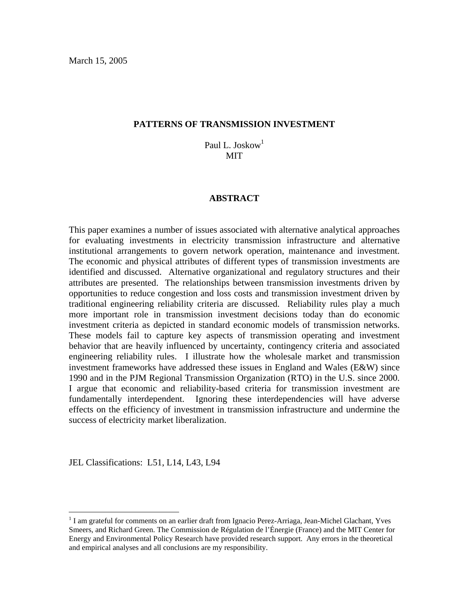#### **PATTERNS OF TRANSMISSION INVESTMENT**

Paul L. Joskow<sup>1</sup> **MIT** 

#### **ABSTRACT**

This paper examines a number of issues associated with alternative analytical approaches for evaluating investments in electricity transmission infrastructure and alternative institutional arrangements to govern network operation, maintenance and investment. The economic and physical attributes of different types of transmission investments are identified and discussed. Alternative organizational and regulatory structures and their attributes are presented. The relationships between transmission investments driven by opportunities to reduce congestion and loss costs and transmission investment driven by traditional engineering reliability criteria are discussed. Reliability rules play a much more important role in transmission investment decisions today than do economic investment criteria as depicted in standard economic models of transmission networks. These models fail to capture key aspects of transmission operating and investment behavior that are heavily influenced by uncertainty, contingency criteria and associated engineering reliability rules. I illustrate how the wholesale market and transmission investment frameworks have addressed these issues in England and Wales (E&W) since 1990 and in the PJM Regional Transmission Organization (RTO) in the U.S. since 2000. I argue that economic and reliability-based criteria for transmission investment are fundamentally interdependent. Ignoring these interdependencies will have adverse effects on the efficiency of investment in transmission infrastructure and undermine the success of electricity market liberalization.

JEL Classifications: L51, L14, L43, L94

<u>.</u>

<sup>&</sup>lt;sup>1</sup> I am grateful for comments on an earlier draft from Ignacio Perez-Arriaga, Jean-Michel Glachant, Yves Smeers, and Richard Green. The Commission de Régulation de l'Énergie (France) and the MIT Center for Energy and Environmental Policy Research have provided research support. Any errors in the theoretical and empirical analyses and all conclusions are my responsibility.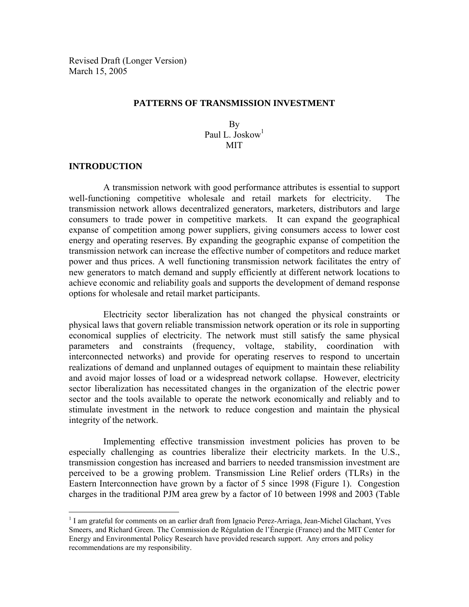#### **PATTERNS OF TRANSMISSION INVESTMENT**

By Paul L. Joskow<sup>1</sup> **MIT** 

#### **INTRODUCTION**

 $\overline{a}$ 

A transmission network with good performance attributes is essential to support well-functioning competitive wholesale and retail markets for electricity. The transmission network allows decentralized generators, marketers, distributors and large consumers to trade power in competitive markets. It can expand the geographical expanse of competition among power suppliers, giving consumers access to lower cost energy and operating reserves. By expanding the geographic expanse of competition the transmission network can increase the effective number of competitors and reduce market power and thus prices. A well functioning transmission network facilitates the entry of new generators to match demand and supply efficiently at different network locations to achieve economic and reliability goals and supports the development of demand response options for wholesale and retail market participants.

 Electricity sector liberalization has not changed the physical constraints or physical laws that govern reliable transmission network operation or its role in supporting economical supplies of electricity. The network must still satisfy the same physical parameters and constraints (frequency, voltage, stability, coordination with interconnected networks) and provide for operating reserves to respond to uncertain realizations of demand and unplanned outages of equipment to maintain these reliability and avoid major losses of load or a widespread network collapse. However, electricity sector liberalization has necessitated changes in the organization of the electric power sector and the tools available to operate the network economically and reliably and to stimulate investment in the network to reduce congestion and maintain the physical integrity of the network.

 Implementing effective transmission investment policies has proven to be especially challenging as countries liberalize their electricity markets. In the U.S., transmission congestion has increased and barriers to needed transmission investment are perceived to be a growing problem. Transmission Line Relief orders (TLRs) in the Eastern Interconnection have grown by a factor of 5 since 1998 (Figure 1). Congestion charges in the traditional PJM area grew by a factor of 10 between 1998 and 2003 (Table

<sup>&</sup>lt;sup>1</sup> I am grateful for comments on an earlier draft from Ignacio Perez-Arriaga, Jean-Michel Glachant, Yves Smeers, and Richard Green. The Commission de Régulation de l'Énergie (France) and the MIT Center for Energy and Environmental Policy Research have provided research support. Any errors and policy recommendations are my responsibility.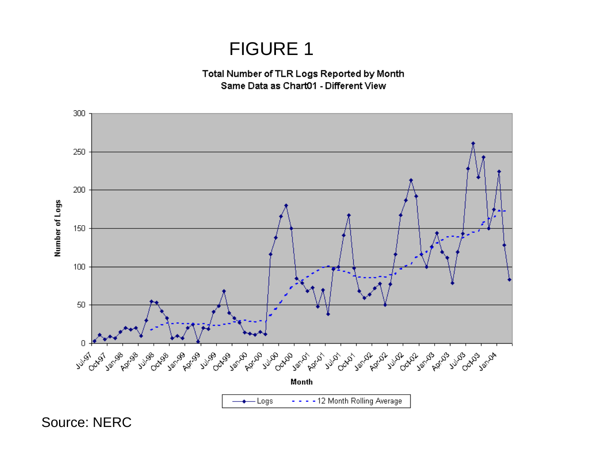## FIGURE 1

Total Number of TLR Logs Reported by Month Same Data as Chart01 - Different View



Source: NERC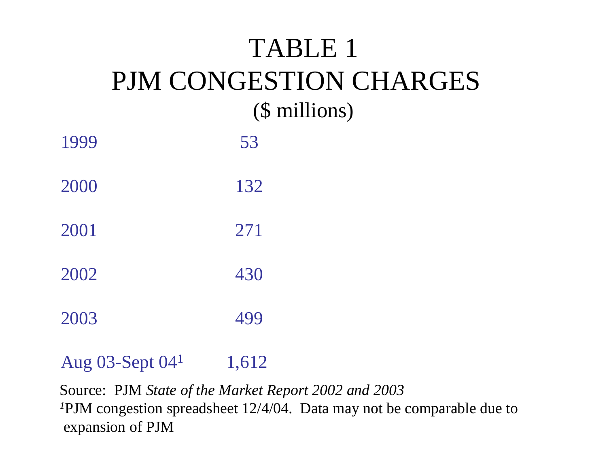# TABLE 1PJM CONGESTION CHARGES (\$ millions)

| 1999 | 53  |
|------|-----|
| 2000 | 132 |
| 2001 | 271 |
| 2002 | 430 |
| 2003 | 499 |

Aug 03-Sept  $04^1$  1,612

Source: PJM *State of the Market Report 2002 and 2003 <sup>1</sup>*PJM congestion spreadsheet 12/4/04. Data may not be comparable due to expansion of PJM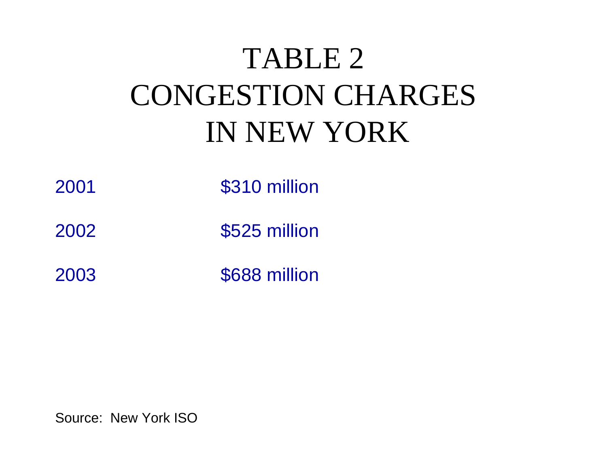# TABLE 2CONGESTION CHARGESIN NEW YORK

2001 **\$310 million** 

2002 \$525 million

2003 \$688 million

Source: New York ISO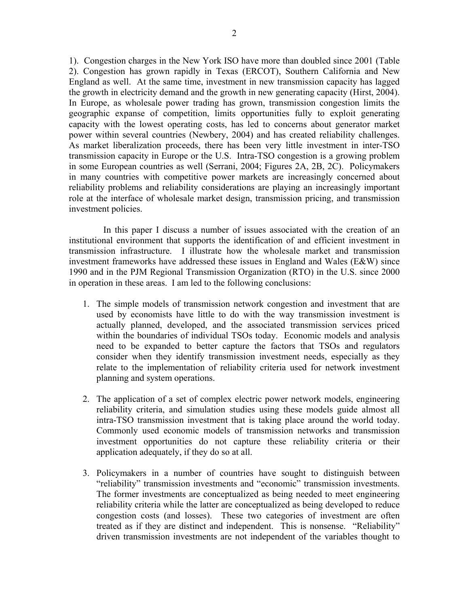1). Congestion charges in the New York ISO have more than doubled since 2001 (Table 2). Congestion has grown rapidly in Texas (ERCOT), Southern California and New England as well. At the same time, investment in new transmission capacity has lagged the growth in electricity demand and the growth in new generating capacity (Hirst, 2004). In Europe, as wholesale power trading has grown, transmission congestion limits the geographic expanse of competition, limits opportunities fully to exploit generating capacity with the lowest operating costs, has led to concerns about generator market power within several countries (Newbery, 2004) and has created reliability challenges. As market liberalization proceeds, there has been very little investment in inter-TSO transmission capacity in Europe or the U.S. Intra-TSO congestion is a growing problem in some European countries as well (Serrani, 2004; Figures 2A, 2B, 2C). Policymakers in many countries with competitive power markets are increasingly concerned about reliability problems and reliability considerations are playing an increasingly important role at the interface of wholesale market design, transmission pricing, and transmission investment policies.

 In this paper I discuss a number of issues associated with the creation of an institutional environment that supports the identification of and efficient investment in transmission infrastructure. I illustrate how the wholesale market and transmission investment frameworks have addressed these issues in England and Wales (E&W) since 1990 and in the PJM Regional Transmission Organization (RTO) in the U.S. since 2000 in operation in these areas. I am led to the following conclusions:

- 1. The simple models of transmission network congestion and investment that are used by economists have little to do with the way transmission investment is actually planned, developed, and the associated transmission services priced within the boundaries of individual TSOs today. Economic models and analysis need to be expanded to better capture the factors that TSOs and regulators consider when they identify transmission investment needs, especially as they relate to the implementation of reliability criteria used for network investment planning and system operations.
- 2. The application of a set of complex electric power network models, engineering reliability criteria, and simulation studies using these models guide almost all intra-TSO transmission investment that is taking place around the world today. Commonly used economic models of transmission networks and transmission investment opportunities do not capture these reliability criteria or their application adequately, if they do so at all.
- 3. Policymakers in a number of countries have sought to distinguish between "reliability" transmission investments and "economic" transmission investments. The former investments are conceptualized as being needed to meet engineering reliability criteria while the latter are conceptualized as being developed to reduce congestion costs (and losses). These two categories of investment are often treated as if they are distinct and independent. This is nonsense. "Reliability" driven transmission investments are not independent of the variables thought to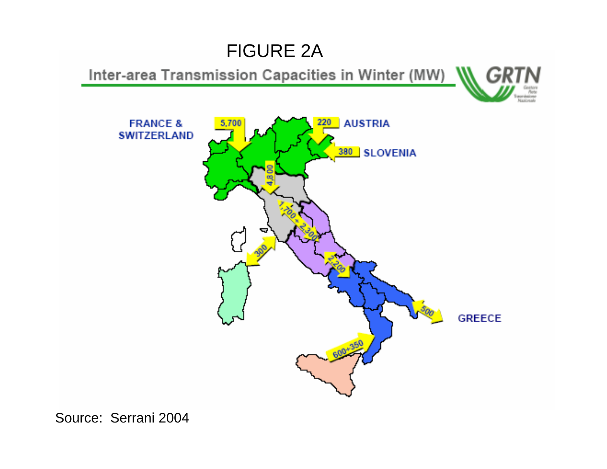# FIGURE 2A

Inter-area Transmission Capacities in Winter (MW)

GR



Source: Serrani 2004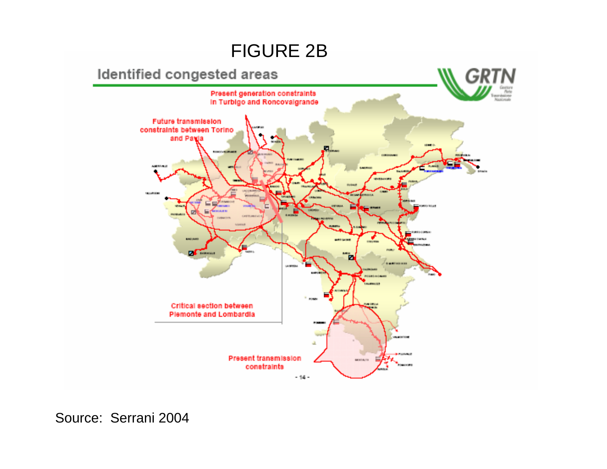

Source: Serrani 2004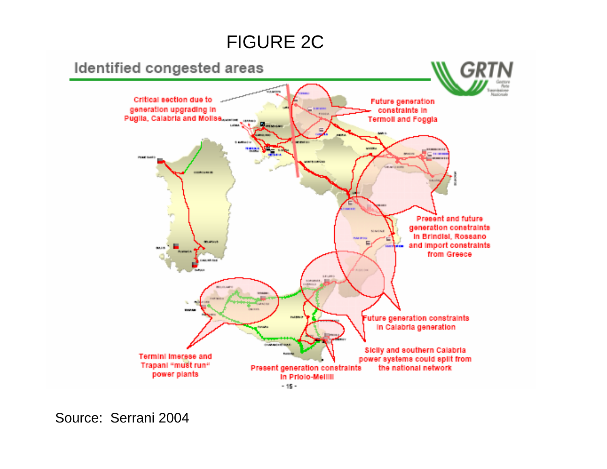## FIGURE 2C



Source: Serrani 2004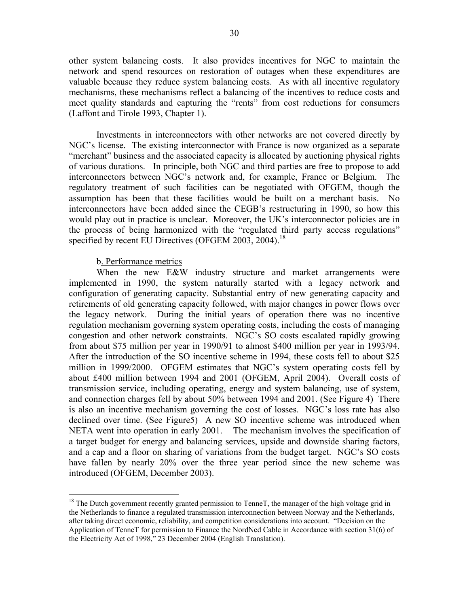other system balancing costs. It also provides incentives for NGC to maintain the network and spend resources on restoration of outages when these expenditures are valuable because they reduce system balancing costs. As with all incentive regulatory mechanisms, these mechanisms reflect a balancing of the incentives to reduce costs and meet quality standards and capturing the "rents" from cost reductions for consumers (Laffont and Tirole 1993, Chapter 1).

Investments in interconnectors with other networks are not covered directly by NGC's license. The existing interconnector with France is now organized as a separate "merchant" business and the associated capacity is allocated by auctioning physical rights of various durations. In principle, both NGC and third parties are free to propose to add interconnectors between NGC's network and, for example, France or Belgium. The regulatory treatment of such facilities can be negotiated with OFGEM, though the assumption has been that these facilities would be built on a merchant basis. No interconnectors have been added since the CEGB's restructuring in 1990, so how this would play out in practice is unclear. Moreover, the UK's interconnector policies are in the process of being harmonized with the "regulated third party access regulations" specified by recent EU Directives (OFGEM 2003, 2004).<sup>18</sup>

#### b. Performance metrics

1

When the new E&W industry structure and market arrangements were implemented in 1990, the system naturally started with a legacy network and configuration of generating capacity. Substantial entry of new generating capacity and retirements of old generating capacity followed, with major changes in power flows over the legacy network. During the initial years of operation there was no incentive regulation mechanism governing system operating costs, including the costs of managing congestion and other network constraints. NGC's SO costs escalated rapidly growing from about \$75 million per year in 1990/91 to almost \$400 million per year in 1993/94. After the introduction of the SO incentive scheme in 1994, these costs fell to about \$25 million in 1999/2000. OFGEM estimates that NGC's system operating costs fell by about £400 million between 1994 and 2001 (OFGEM, April 2004). Overall costs of transmission service, including operating, energy and system balancing, use of system, and connection charges fell by about 50% between 1994 and 2001. (See Figure 4) There is also an incentive mechanism governing the cost of losses. NGC's loss rate has also declined over time. (See Figure5) A new SO incentive scheme was introduced when NETA went into operation in early 2001. The mechanism involves the specification of a target budget for energy and balancing services, upside and downside sharing factors, and a cap and a floor on sharing of variations from the budget target. NGC's SO costs have fallen by nearly 20% over the three year period since the new scheme was introduced (OFGEM, December 2003).

 $18$  The Dutch government recently granted permission to TenneT, the manager of the high voltage grid in the Netherlands to finance a regulated transmission interconnection between Norway and the Netherlands, after taking direct economic, reliability, and competition considerations into account. "Decision on the Application of TenneT for permission to Finance the NordNed Cable in Accordance with section 31(6) of the Electricity Act of 1998," 23 December 2004 (English Translation).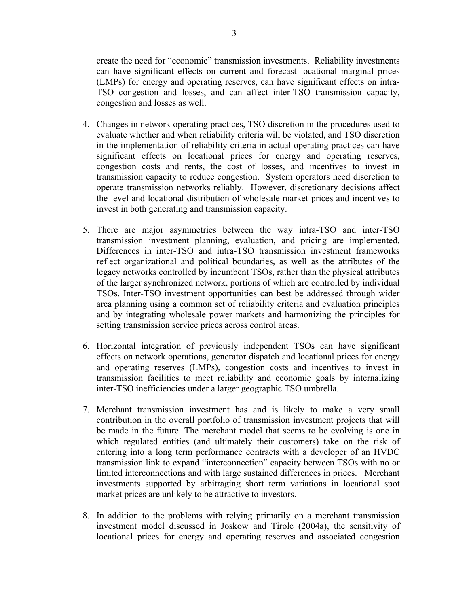create the need for "economic" transmission investments. Reliability investments can have significant effects on current and forecast locational marginal prices (LMPs) for energy and operating reserves, can have significant effects on intra-TSO congestion and losses, and can affect inter-TSO transmission capacity, congestion and losses as well.

- 4. Changes in network operating practices, TSO discretion in the procedures used to evaluate whether and when reliability criteria will be violated, and TSO discretion in the implementation of reliability criteria in actual operating practices can have significant effects on locational prices for energy and operating reserves, congestion costs and rents, the cost of losses, and incentives to invest in transmission capacity to reduce congestion. System operators need discretion to operate transmission networks reliably. However, discretionary decisions affect the level and locational distribution of wholesale market prices and incentives to invest in both generating and transmission capacity.
- 5. There are major asymmetries between the way intra-TSO and inter-TSO transmission investment planning, evaluation, and pricing are implemented. Differences in inter-TSO and intra-TSO transmission investment frameworks reflect organizational and political boundaries, as well as the attributes of the legacy networks controlled by incumbent TSOs, rather than the physical attributes of the larger synchronized network, portions of which are controlled by individual TSOs. Inter-TSO investment opportunities can best be addressed through wider area planning using a common set of reliability criteria and evaluation principles and by integrating wholesale power markets and harmonizing the principles for setting transmission service prices across control areas.
- 6. Horizontal integration of previously independent TSOs can have significant effects on network operations, generator dispatch and locational prices for energy and operating reserves (LMPs), congestion costs and incentives to invest in transmission facilities to meet reliability and economic goals by internalizing inter-TSO inefficiencies under a larger geographic TSO umbrella.
- 7. Merchant transmission investment has and is likely to make a very small contribution in the overall portfolio of transmission investment projects that will be made in the future. The merchant model that seems to be evolving is one in which regulated entities (and ultimately their customers) take on the risk of entering into a long term performance contracts with a developer of an HVDC transmission link to expand "interconnection" capacity between TSOs with no or limited interconnections and with large sustained differences in prices. Merchant investments supported by arbitraging short term variations in locational spot market prices are unlikely to be attractive to investors.
- 8. In addition to the problems with relying primarily on a merchant transmission investment model discussed in Joskow and Tirole (2004a), the sensitivity of locational prices for energy and operating reserves and associated congestion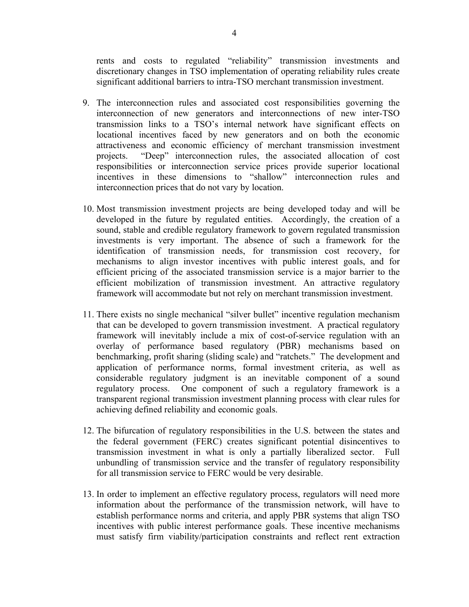rents and costs to regulated "reliability" transmission investments and discretionary changes in TSO implementation of operating reliability rules create significant additional barriers to intra-TSO merchant transmission investment.

- 9. The interconnection rules and associated cost responsibilities governing the interconnection of new generators and interconnections of new inter-TSO transmission links to a TSO's internal network have significant effects on locational incentives faced by new generators and on both the economic attractiveness and economic efficiency of merchant transmission investment projects. "Deep" interconnection rules, the associated allocation of cost responsibilities or interconnection service prices provide superior locational incentives in these dimensions to "shallow" interconnection rules and interconnection prices that do not vary by location.
- 10. Most transmission investment projects are being developed today and will be developed in the future by regulated entities. Accordingly, the creation of a sound, stable and credible regulatory framework to govern regulated transmission investments is very important. The absence of such a framework for the identification of transmission needs, for transmission cost recovery, for mechanisms to align investor incentives with public interest goals, and for efficient pricing of the associated transmission service is a major barrier to the efficient mobilization of transmission investment. An attractive regulatory framework will accommodate but not rely on merchant transmission investment.
- 11. There exists no single mechanical "silver bullet" incentive regulation mechanism that can be developed to govern transmission investment. A practical regulatory framework will inevitably include a mix of cost-of-service regulation with an overlay of performance based regulatory (PBR) mechanisms based on benchmarking, profit sharing (sliding scale) and "ratchets." The development and application of performance norms, formal investment criteria, as well as considerable regulatory judgment is an inevitable component of a sound regulatory process. One component of such a regulatory framework is a transparent regional transmission investment planning process with clear rules for achieving defined reliability and economic goals.
- 12. The bifurcation of regulatory responsibilities in the U.S. between the states and the federal government (FERC) creates significant potential disincentives to transmission investment in what is only a partially liberalized sector. Full unbundling of transmission service and the transfer of regulatory responsibility for all transmission service to FERC would be very desirable.
- 13. In order to implement an effective regulatory process, regulators will need more information about the performance of the transmission network, will have to establish performance norms and criteria, and apply PBR systems that align TSO incentives with public interest performance goals. These incentive mechanisms must satisfy firm viability/participation constraints and reflect rent extraction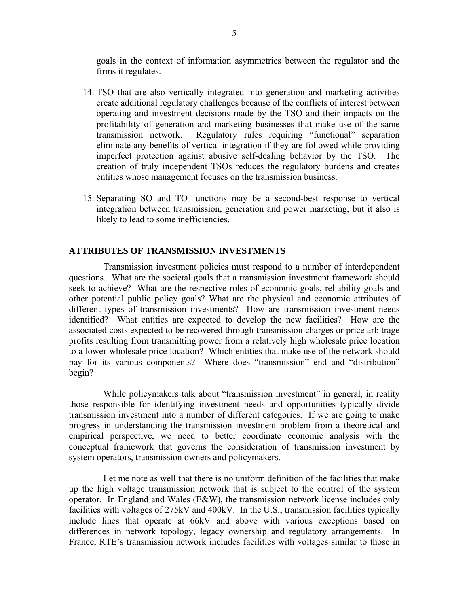goals in the context of information asymmetries between the regulator and the firms it regulates.

- 14. TSO that are also vertically integrated into generation and marketing activities create additional regulatory challenges because of the conflicts of interest between operating and investment decisions made by the TSO and their impacts on the profitability of generation and marketing businesses that make use of the same transmission network. Regulatory rules requiring "functional" separation eliminate any benefits of vertical integration if they are followed while providing imperfect protection against abusive self-dealing behavior by the TSO. The creation of truly independent TSOs reduces the regulatory burdens and creates entities whose management focuses on the transmission business.
- 15. Separating SO and TO functions may be a second-best response to vertical integration between transmission, generation and power marketing, but it also is likely to lead to some inefficiencies.

#### **ATTRIBUTES OF TRANSMISSION INVESTMENTS**

 Transmission investment policies must respond to a number of interdependent questions. What are the societal goals that a transmission investment framework should seek to achieve? What are the respective roles of economic goals, reliability goals and other potential public policy goals? What are the physical and economic attributes of different types of transmission investments? How are transmission investment needs identified? What entities are expected to develop the new facilities? How are the associated costs expected to be recovered through transmission charges or price arbitrage profits resulting from transmitting power from a relatively high wholesale price location to a lower-wholesale price location? Which entities that make use of the network should pay for its various components? Where does "transmission" end and "distribution" begin?

While policymakers talk about "transmission investment" in general, in reality those responsible for identifying investment needs and opportunities typically divide transmission investment into a number of different categories. If we are going to make progress in understanding the transmission investment problem from a theoretical and empirical perspective, we need to better coordinate economic analysis with the conceptual framework that governs the consideration of transmission investment by system operators, transmission owners and policymakers.

 Let me note as well that there is no uniform definition of the facilities that make up the high voltage transmission network that is subject to the control of the system operator. In England and Wales (E&W), the transmission network license includes only facilities with voltages of 275kV and 400kV. In the U.S., transmission facilities typically include lines that operate at 66kV and above with various exceptions based on differences in network topology, legacy ownership and regulatory arrangements. In France, RTE's transmission network includes facilities with voltages similar to those in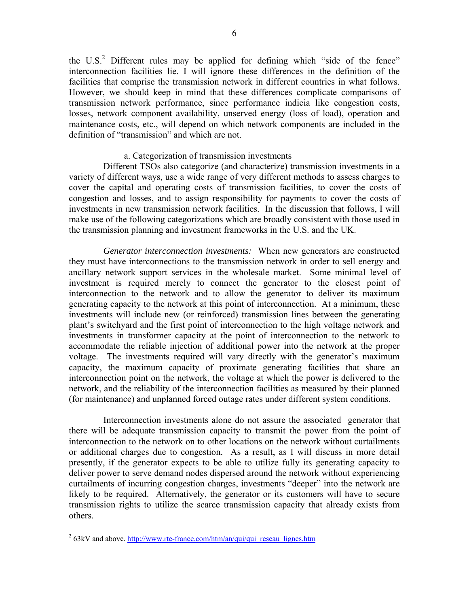the U.S.<sup>2</sup> Different rules may be applied for defining which "side of the fence" interconnection facilities lie. I will ignore these differences in the definition of the facilities that comprise the transmission network in different countries in what follows. However, we should keep in mind that these differences complicate comparisons of transmission network performance, since performance indicia like congestion costs, losses, network component availability, unserved energy (loss of load), operation and maintenance costs, etc., will depend on which network components are included in the definition of "transmission" and which are not.

#### a. Categorization of transmission investments

 Different TSOs also categorize (and characterize) transmission investments in a variety of different ways, use a wide range of very different methods to assess charges to cover the capital and operating costs of transmission facilities, to cover the costs of congestion and losses, and to assign responsibility for payments to cover the costs of investments in new transmission network facilities. In the discussion that follows, I will make use of the following categorizations which are broadly consistent with those used in the transmission planning and investment frameworks in the U.S. and the UK.

*Generator interconnection investments:* When new generators are constructed they must have interconnections to the transmission network in order to sell energy and ancillary network support services in the wholesale market. Some minimal level of investment is required merely to connect the generator to the closest point of interconnection to the network and to allow the generator to deliver its maximum generating capacity to the network at this point of interconnection. At a minimum, these investments will include new (or reinforced) transmission lines between the generating plant's switchyard and the first point of interconnection to the high voltage network and investments in transformer capacity at the point of interconnection to the network to accommodate the reliable injection of additional power into the network at the proper voltage. The investments required will vary directly with the generator's maximum capacity, the maximum capacity of proximate generating facilities that share an interconnection point on the network, the voltage at which the power is delivered to the network, and the reliability of the interconnection facilities as measured by their planned (for maintenance) and unplanned forced outage rates under different system conditions.

 Interconnection investments alone do not assure the associated generator that there will be adequate transmission capacity to transmit the power from the point of interconnection to the network on to other locations on the network without curtailments or additional charges due to congestion. As a result, as I will discuss in more detail presently, if the generator expects to be able to utilize fully its generating capacity to deliver power to serve demand nodes dispersed around the network without experiencing curtailments of incurring congestion charges, investments "deeper" into the network are likely to be required. Alternatively, the generator or its customers will have to secure transmission rights to utilize the scarce transmission capacity that already exists from others.

<sup>&</sup>lt;sup>2</sup> 63kV and above. http://www.rte-france.com/htm/an/qui/qui\_reseau\_lignes.htm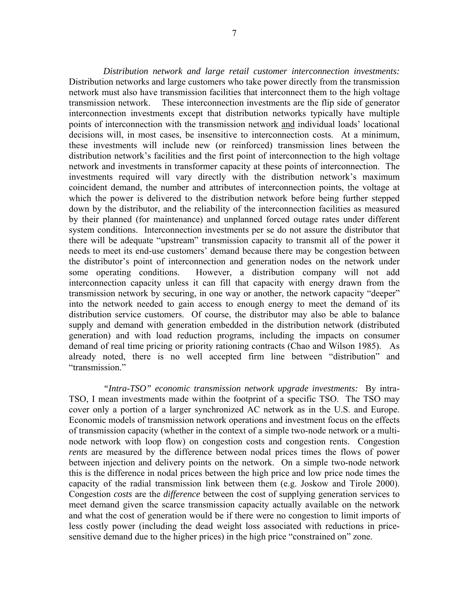*Distribution network and large retail customer interconnection investments:*  Distribution networks and large customers who take power directly from the transmission network must also have transmission facilities that interconnect them to the high voltage transmission network. These interconnection investments are the flip side of generator interconnection investments except that distribution networks typically have multiple points of interconnection with the transmission network and individual loads' locational decisions will, in most cases, be insensitive to interconnection costs. At a minimum, these investments will include new (or reinforced) transmission lines between the distribution network's facilities and the first point of interconnection to the high voltage network and investments in transformer capacity at these points of interconnection. The investments required will vary directly with the distribution network's maximum coincident demand, the number and attributes of interconnection points, the voltage at which the power is delivered to the distribution network before being further stepped down by the distributor, and the reliability of the interconnection facilities as measured by their planned (for maintenance) and unplanned forced outage rates under different system conditions. Interconnection investments per se do not assure the distributor that there will be adequate "upstream" transmission capacity to transmit all of the power it needs to meet its end-use customers' demand because there may be congestion between the distributor's point of interconnection and generation nodes on the network under some operating conditions. However, a distribution company will not add interconnection capacity unless it can fill that capacity with energy drawn from the transmission network by securing, in one way or another, the network capacity "deeper" into the network needed to gain access to enough energy to meet the demand of its distribution service customers. Of course, the distributor may also be able to balance supply and demand with generation embedded in the distribution network (distributed generation) and with load reduction programs, including the impacts on consumer demand of real time pricing or priority rationing contracts (Chao and Wilson 1985). As already noted, there is no well accepted firm line between "distribution" and "transmission."

*"Intra-TSO" economic transmission network upgrade investments:* By intra-TSO, I mean investments made within the footprint of a specific TSO. The TSO may cover only a portion of a larger synchronized AC network as in the U.S. and Europe. Economic models of transmission network operations and investment focus on the effects of transmission capacity (whether in the context of a simple two-node network or a multinode network with loop flow) on congestion costs and congestion rents. Congestion *rents* are measured by the difference between nodal prices times the flows of power between injection and delivery points on the network. On a simple two-node network this is the difference in nodal prices between the high price and low price node times the capacity of the radial transmission link between them (e.g. Joskow and Tirole 2000). Congestion *costs* are the *difference* between the cost of supplying generation services to meet demand given the scarce transmission capacity actually available on the network and what the cost of generation would be if there were no congestion to limit imports of less costly power (including the dead weight loss associated with reductions in pricesensitive demand due to the higher prices) in the high price "constrained on" zone.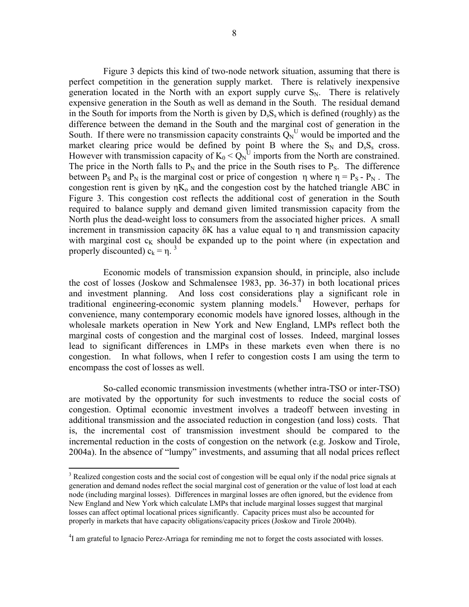Figure 3 depicts this kind of two-node network situation, assuming that there is perfect competition in the generation supply market. There is relatively inexpensive generation located in the North with an export supply curve  $S_N$ . There is relatively expensive generation in the South as well as demand in the South. The residual demand in the South for imports from the North is given by  $D_sS_s$  which is defined (roughly) as the difference between the demand in the South and the marginal cost of generation in the South. If there were no transmission capacity constraints  $\overline{Q_N}^U$  would be imported and the market clearing price would be defined by point B where the  $S_N$  and  $D_S S_S$  cross. However with transmission capacity of  $K_0 < Q_N^U$  imports from the North are constrained. The price in the North falls to  $P_N$  and the price in the South rises to  $P_S$ . The difference between P<sub>S</sub> and P<sub>N</sub> is the marginal cost or price of congestion  $\eta$  where  $\eta = P_S - P_N$ . The congestion rent is given by  $\eta K_0$  and the congestion cost by the hatched triangle ABC in Figure 3. This congestion cost reflects the additional cost of generation in the South required to balance supply and demand given limited transmission capacity from the North plus the dead-weight loss to consumers from the associated higher prices. A small increment in transmission capacity δK has a value equal to η and transmission capacity with marginal cost  $c_K$  should be expanded up to the point where (in expectation and properly discounted)  $c_k = \eta$ .<sup>3</sup>

 Economic models of transmission expansion should, in principle, also include the cost of losses (Joskow and Schmalensee 1983, pp. 36-37) in both locational prices and investment planning. And loss cost considerations play a significant role in traditional engineering-economic system planning models.<sup>4</sup> However, perhaps for convenience, many contemporary economic models have ignored losses, although in the wholesale markets operation in New York and New England, LMPs reflect both the marginal costs of congestion and the marginal cost of losses. Indeed, marginal losses lead to significant differences in LMPs in these markets even when there is no congestion. In what follows, when I refer to congestion costs I am using the term to encompass the cost of losses as well.

 So-called economic transmission investments (whether intra-TSO or inter-TSO) are motivated by the opportunity for such investments to reduce the social costs of congestion. Optimal economic investment involves a tradeoff between investing in additional transmission and the associated reduction in congestion (and loss) costs. That is, the incremental cost of transmission investment should be compared to the incremental reduction in the costs of congestion on the network (e.g. Joskow and Tirole, 2004a). In the absence of "lumpy" investments, and assuming that all nodal prices reflect

<sup>&</sup>lt;sup>3</sup> Realized congestion costs and the social cost of congestion will be equal only if the nodal price signals at generation and demand nodes reflect the social marginal cost of generation or the value of lost load at each node (including marginal losses). Differences in marginal losses are often ignored, but the evidence from New England and New York which calculate LMPs that include marginal losses suggest that marginal losses can affect optimal locational prices significantly. Capacity prices must also be accounted for properly in markets that have capacity obligations/capacity prices (Joskow and Tirole 2004b).

<sup>&</sup>lt;sup>4</sup>I am grateful to Ignacio Perez-Arriaga for reminding me not to forget the costs associated with losses.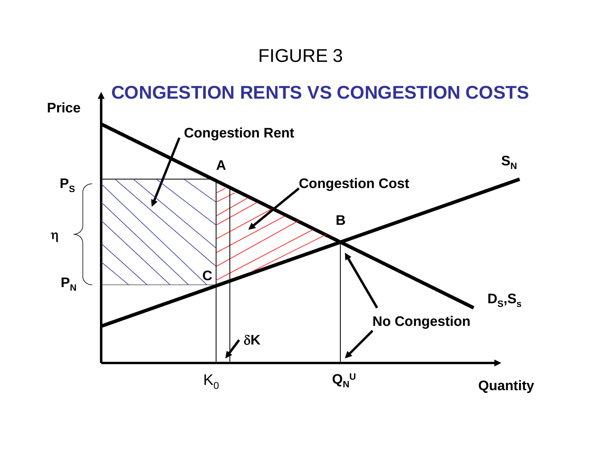### FIGURE 3

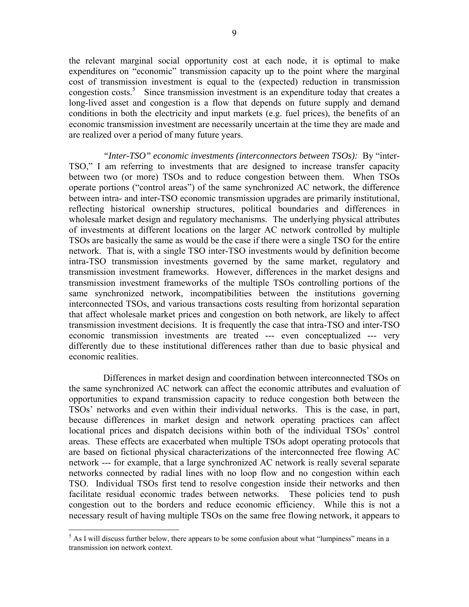the relevant marginal social opportunity cost at each node, it is optimal to make expenditures on "economic" transmission capacity up to the point where the marginal cost of transmission investment is equal to the (expected) reduction in transmission congestion costs.<sup>5</sup> Since transmission investment is an expenditure today that creates a long-lived asset and congestion is a flow that depends on future supply and demand conditions in both the electricity and input markets (e.g. fuel prices), the benefits of an economic transmission investment are necessarily uncertain at the time they are made and are realized over a period of many future years.

*"Inter-TSO" economic investments (interconnectors between TSOs):* By "inter-TSO," I am referring to investments that are designed to increase transfer capacity between two (or more) TSOs and to reduce congestion between them. When TSOs operate portions ("control areas") of the same synchronized AC network, the difference between intra- and inter-TSO economic transmission upgrades are primarily institutional, reflecting historical ownership structures, political boundaries and differences in wholesale market design and regulatory mechanisms. The underlying physical attributes of investments at different locations on the larger AC network controlled by multiple TSOs are basically the same as would be the case if there were a single TSO for the entire network. That is, with a single TSO inter-TSO investments would by definition become intra-TSO transmission investments governed by the same market, regulatory and transmission investment frameworks. However, differences in the market designs and transmission investment frameworks of the multiple TSOs controlling portions of the same synchronized network, incompatibilities between the institutions governing interconnected TSOs, and various transactions costs resulting from horizontal separation that affect wholesale market prices and congestion on both network, are likely to affect transmission investment decisions. It is frequently the case that intra-TSO and inter-TSO economic transmission investments are treated --- even conceptualized --- very differently due to these institutional differences rather than due to basic physical and economic realities.

 Differences in market design and coordination between interconnected TSOs on the same synchronized AC network can affect the economic attributes and evaluation of opportunities to expand transmission capacity to reduce congestion both between the TSOs' networks and even within their individual networks. This is the case, in part, because differences in market design and network operating practices can affect locational prices and dispatch decisions within both of the individual TSOs' control areas. These effects are exacerbated when multiple TSOs adopt operating protocols that are based on fictional physical characterizations of the interconnected free flowing AC network --- for example, that a large synchronized AC network is really several separate networks connected by radial lines with no loop flow and no congestion within each TSO. Individual TSOs first tend to resolve congestion inside their networks and then facilitate residual economic trades between networks. These policies tend to push congestion out to the borders and reduce economic efficiency. While this is not a necessary result of having multiple TSOs on the same free flowing network, it appears to

 $<sup>5</sup>$  As I will discuss further below, there appears to be some confusion about what "lumpiness" means in a</sup> transmission ion network context.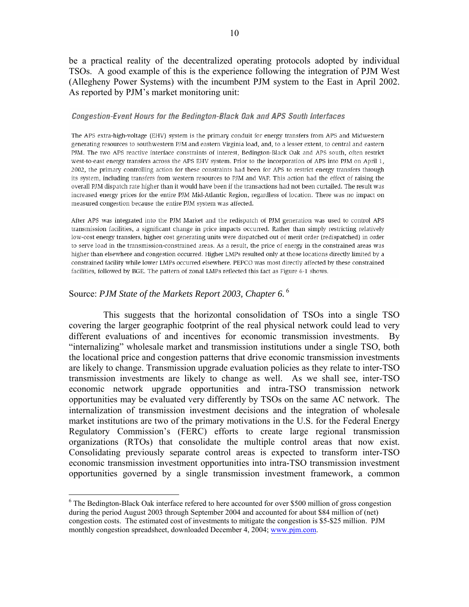be a practical reality of the decentralized operating protocols adopted by individual TSOs. A good example of this is the experience following the integration of PJM West (Allegheny Power Systems) with the incumbent PJM system to the East in April 2002. As reported by PJM's market monitoring unit:

#### Congestion-Event Hours for the Bedington-Black Oak and APS South Interfaces

The APS extra-high-voltage (EHV) system is the primary conduit for energy transfers from APS and Midwestern generating resources to southwestern PJM and eastern Virginia load, and, to a lesser extent, to central and eastern PJM. The two APS reactive interface constraints of interest, Bedington-Black Oak and APS south, often restrict west-to-east energy transfers across the APS EHV system. Prior to the incorporation of APS into PJM on April 1, 2002, the primary controlling action for these constraints had been for APS to restrict energy transfers through its system, including transfers from western resources to PJM and VAP. This action had the effect of raising the overall PJM dispatch rate higher than it would have been if the transactions had not been curtailed. The result was increased energy prices for the entire PJM Mid-Atlantic Region, regardless of location. There was no impact on measured congestion because the entire PJM system was affected.

After APS was integrated into the PJM Market and the redispatch of PJM generation was used to control APS transmission facilities, a significant change in price impacts occurred. Rather than simply restricting relatively low-cost energy transfers, higher cost generating units were dispatched out of merit order (redispatched) in order to serve load in the transmission-constrained areas. As a result, the price of energy in the constrained areas was higher than elsewhere and congestion occurred. Higher LMPs resulted only at those locations directly limited by a constrained facility while lower LMPs occurred elsewhere. PEPCO was most directly affected by these constrained facilities, followed by BGE. The pattern of zonal LMPs reflected this fact as Figure 6-1 shows.

#### Source: *PJM State of the Markets Report 2003, Chapter 6.*<sup>6</sup>

 $\overline{a}$ 

 This suggests that the horizontal consolidation of TSOs into a single TSO covering the larger geographic footprint of the real physical network could lead to very different evaluations of and incentives for economic transmission investments. By "internalizing" wholesale market and transmission institutions under a single TSO, both the locational price and congestion patterns that drive economic transmission investments are likely to change. Transmission upgrade evaluation policies as they relate to inter-TSO transmission investments are likely to change as well. As we shall see, inter-TSO economic network upgrade opportunities and intra-TSO transmission network opportunities may be evaluated very differently by TSOs on the same AC network. The internalization of transmission investment decisions and the integration of wholesale market institutions are two of the primary motivations in the U.S. for the Federal Energy Regulatory Commission's (FERC) efforts to create large regional transmission organizations (RTOs) that consolidate the multiple control areas that now exist. Consolidating previously separate control areas is expected to transform inter-TSO economic transmission investment opportunities into intra-TSO transmission investment opportunities governed by a single transmission investment framework, a common

<sup>&</sup>lt;sup>6</sup> The Bedington-Black Oak interface refered to here accounted for over \$500 million of gross congestion during the period August 2003 through September 2004 and accounted for about \$84 million of (net) congestion costs. The estimated cost of investments to mitigate the congestion is \$5-\$25 million. PJM monthly congestion spreadsheet, downloaded December 4, 2004; www.pjm.com.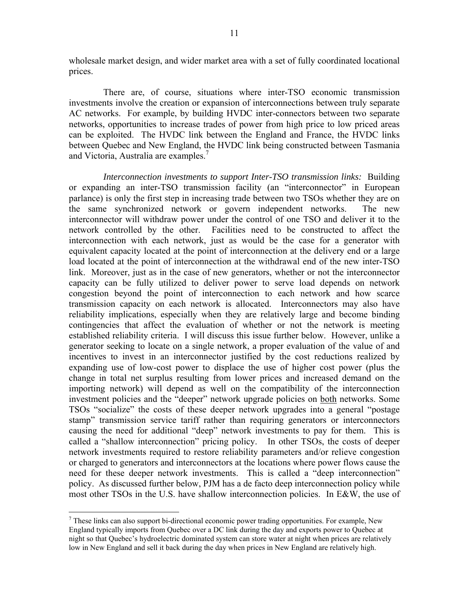wholesale market design, and wider market area with a set of fully coordinated locational prices.

 There are, of course, situations where inter-TSO economic transmission investments involve the creation or expansion of interconnections between truly separate AC networks. For example, by building HVDC inter-connectors between two separate networks, opportunities to increase trades of power from high price to low priced areas can be exploited. The HVDC link between the England and France, the HVDC links between Quebec and New England, the HVDC link being constructed between Tasmania and Victoria, Australia are examples.<sup>7</sup>

*Interconnection investments to support Inter-TSO transmission links:* Building or expanding an inter-TSO transmission facility (an "interconnector" in European parlance) is only the first step in increasing trade between two TSOs whether they are on the same synchronized network or govern independent networks. The new interconnector will withdraw power under the control of one TSO and deliver it to the network controlled by the other. Facilities need to be constructed to affect the interconnection with each network, just as would be the case for a generator with equivalent capacity located at the point of interconnection at the delivery end or a large load located at the point of interconnection at the withdrawal end of the new inter-TSO link. Moreover, just as in the case of new generators, whether or not the interconnector capacity can be fully utilized to deliver power to serve load depends on network congestion beyond the point of interconnection to each network and how scarce transmission capacity on each network is allocated. Interconnectors may also have reliability implications, especially when they are relatively large and become binding contingencies that affect the evaluation of whether or not the network is meeting established reliability criteria. I will discuss this issue further below. However, unlike a generator seeking to locate on a single network, a proper evaluation of the value of and incentives to invest in an interconnector justified by the cost reductions realized by expanding use of low-cost power to displace the use of higher cost power (plus the change in total net surplus resulting from lower prices and increased demand on the importing network) will depend as well on the compatibility of the interconnection investment policies and the "deeper" network upgrade policies on both networks. Some TSOs "socialize" the costs of these deeper network upgrades into a general "postage stamp" transmission service tariff rather than requiring generators or interconnectors causing the need for additional "deep" network investments to pay for them. This is called a "shallow interconnection" pricing policy. In other TSOs, the costs of deeper network investments required to restore reliability parameters and/or relieve congestion or charged to generators and interconnectors at the locations where power flows cause the need for these deeper network investments. This is called a "deep interconnection" policy. As discussed further below, PJM has a de facto deep interconnection policy while most other TSOs in the U.S. have shallow interconnection policies. In E&W, the use of

<u>.</u>

 $<sup>7</sup>$  These links can also support bi-directional economic power trading opportunities. For example, New</sup> England typically imports from Quebec over a DC link during the day and exports power to Quebec at night so that Quebec's hydroelectric dominated system can store water at night when prices are relatively low in New England and sell it back during the day when prices in New England are relatively high.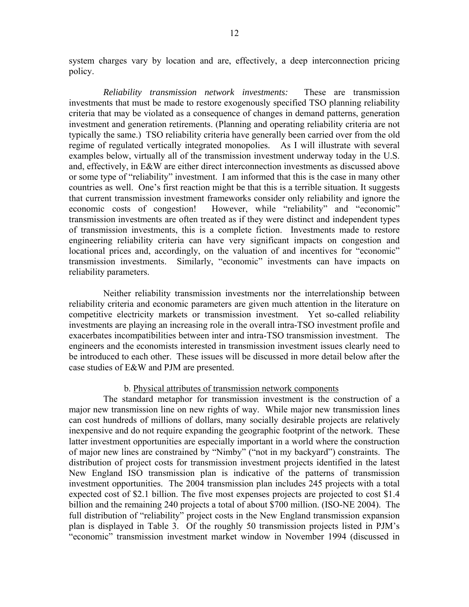system charges vary by location and are, effectively, a deep interconnection pricing policy.

*Reliability transmission network investments:* These are transmission investments that must be made to restore exogenously specified TSO planning reliability criteria that may be violated as a consequence of changes in demand patterns, generation investment and generation retirements. (Planning and operating reliability criteria are not typically the same.) TSO reliability criteria have generally been carried over from the old regime of regulated vertically integrated monopolies. As I will illustrate with several examples below, virtually all of the transmission investment underway today in the U.S. and, effectively, in E&W are either direct interconnection investments as discussed above or some type of "reliability" investment. I am informed that this is the case in many other countries as well. One's first reaction might be that this is a terrible situation. It suggests that current transmission investment frameworks consider only reliability and ignore the economic costs of congestion! However, while "reliability" and "economic" transmission investments are often treated as if they were distinct and independent types of transmission investments, this is a complete fiction. Investments made to restore engineering reliability criteria can have very significant impacts on congestion and locational prices and, accordingly, on the valuation of and incentives for "economic" transmission investments. Similarly, "economic" investments can have impacts on reliability parameters.

 Neither reliability transmission investments nor the interrelationship between reliability criteria and economic parameters are given much attention in the literature on competitive electricity markets or transmission investment. Yet so-called reliability investments are playing an increasing role in the overall intra-TSO investment profile and exacerbates incompatibilities between inter and intra-TSO transmission investment. The engineers and the economists interested in transmission investment issues clearly need to be introduced to each other. These issues will be discussed in more detail below after the case studies of E&W and PJM are presented.

#### b. Physical attributes of transmission network components

 The standard metaphor for transmission investment is the construction of a major new transmission line on new rights of way. While major new transmission lines can cost hundreds of millions of dollars, many socially desirable projects are relatively inexpensive and do not require expanding the geographic footprint of the network. These latter investment opportunities are especially important in a world where the construction of major new lines are constrained by "Nimby" ("not in my backyard") constraints. The distribution of project costs for transmission investment projects identified in the latest New England ISO transmission plan is indicative of the patterns of transmission investment opportunities. The 2004 transmission plan includes 245 projects with a total expected cost of \$2.1 billion. The five most expenses projects are projected to cost \$1.4 billion and the remaining 240 projects a total of about \$700 million. (ISO-NE 2004). The full distribution of "reliability" project costs in the New England transmission expansion plan is displayed in Table 3. Of the roughly 50 transmission projects listed in PJM's "economic" transmission investment market window in November 1994 (discussed in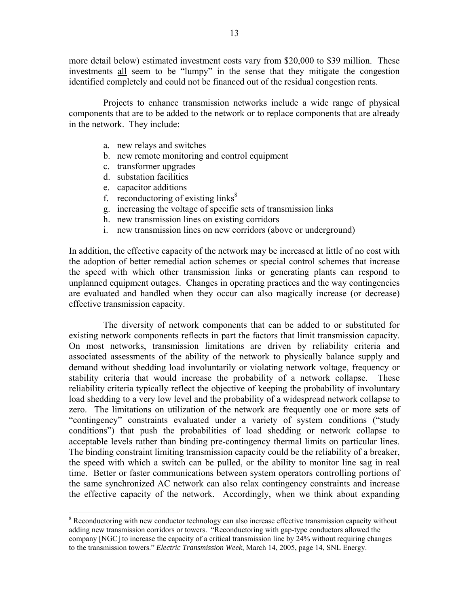more detail below) estimated investment costs vary from \$20,000 to \$39 million. These investments all seem to be "lumpy" in the sense that they mitigate the congestion identified completely and could not be financed out of the residual congestion rents.

 Projects to enhance transmission networks include a wide range of physical components that are to be added to the network or to replace components that are already in the network. They include:

- a. new relays and switches
- b. new remote monitoring and control equipment
- c. transformer upgrades
- d. substation facilities
- e. capacitor additions

 $\overline{a}$ 

- f. reconductoring of existing links $\delta$
- g. increasing the voltage of specific sets of transmission links
- h. new transmission lines on existing corridors
- i. new transmission lines on new corridors (above or underground)

In addition, the effective capacity of the network may be increased at little of no cost with the adoption of better remedial action schemes or special control schemes that increase the speed with which other transmission links or generating plants can respond to unplanned equipment outages. Changes in operating practices and the way contingencies are evaluated and handled when they occur can also magically increase (or decrease) effective transmission capacity.

 The diversity of network components that can be added to or substituted for existing network components reflects in part the factors that limit transmission capacity. On most networks, transmission limitations are driven by reliability criteria and associated assessments of the ability of the network to physically balance supply and demand without shedding load involuntarily or violating network voltage, frequency or stability criteria that would increase the probability of a network collapse. These reliability criteria typically reflect the objective of keeping the probability of involuntary load shedding to a very low level and the probability of a widespread network collapse to zero. The limitations on utilization of the network are frequently one or more sets of "contingency" constraints evaluated under a variety of system conditions ("study conditions") that push the probabilities of load shedding or network collapse to acceptable levels rather than binding pre-contingency thermal limits on particular lines. The binding constraint limiting transmission capacity could be the reliability of a breaker, the speed with which a switch can be pulled, or the ability to monitor line sag in real time. Better or faster communications between system operators controlling portions of the same synchronized AC network can also relax contingency constraints and increase the effective capacity of the network. Accordingly, when we think about expanding

 $8$  Reconductoring with new conductor technology can also increase effective transmission capacity without adding new transmission corridors or towers. "Reconductoring with gap-type conductors allowed the company [NGC] to increase the capacity of a critical transmission line by 24% without requiring changes to the transmission towers." *Electric Transmission Week*, March 14, 2005, page 14, SNL Energy.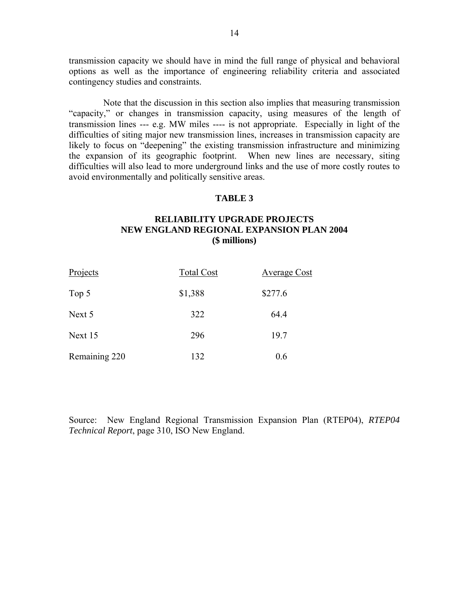transmission capacity we should have in mind the full range of physical and behavioral options as well as the importance of engineering reliability criteria and associated contingency studies and constraints.

 Note that the discussion in this section also implies that measuring transmission "capacity," or changes in transmission capacity, using measures of the length of transmission lines --- e.g. MW miles ---- is not appropriate. Especially in light of the difficulties of siting major new transmission lines, increases in transmission capacity are likely to focus on "deepening" the existing transmission infrastructure and minimizing the expansion of its geographic footprint. When new lines are necessary, siting difficulties will also lead to more underground links and the use of more costly routes to avoid environmentally and politically sensitive areas.

#### **TABLE 3**

#### **RELIABILITY UPGRADE PROJECTS NEW ENGLAND REGIONAL EXPANSION PLAN 2004 (\$ millions)**

| Projects      | <b>Total Cost</b> | <b>Average Cost</b> |
|---------------|-------------------|---------------------|
| Top 5         | \$1,388           | \$277.6             |
| Next 5        | 322               | 64.4                |
| Next 15       | 296               | 19.7                |
| Remaining 220 | 132               | 0.6                 |

Source: New England Regional Transmission Expansion Plan (RTEP04), *RTEP04 Technical Report*, page 310, ISO New England.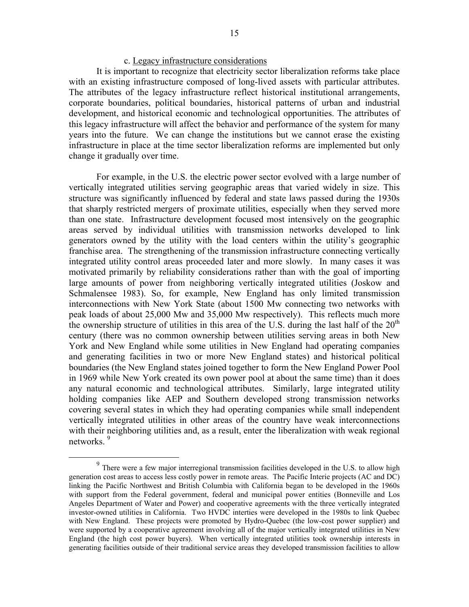#### c. Legacy infrastructure considerations

It is important to recognize that electricity sector liberalization reforms take place with an existing infrastructure composed of long-lived assets with particular attributes. The attributes of the legacy infrastructure reflect historical institutional arrangements, corporate boundaries, political boundaries, historical patterns of urban and industrial development, and historical economic and technological opportunities. The attributes of this legacy infrastructure will affect the behavior and performance of the system for many years into the future. We can change the institutions but we cannot erase the existing infrastructure in place at the time sector liberalization reforms are implemented but only change it gradually over time.

 For example, in the U.S. the electric power sector evolved with a large number of vertically integrated utilities serving geographic areas that varied widely in size. This structure was significantly influenced by federal and state laws passed during the 1930s that sharply restricted mergers of proximate utilities, especially when they served more than one state. Infrastructure development focused most intensively on the geographic areas served by individual utilities with transmission networks developed to link generators owned by the utility with the load centers within the utility's geographic franchise area. The strengthening of the transmission infrastructure connecting vertically integrated utility control areas proceeded later and more slowly. In many cases it was motivated primarily by reliability considerations rather than with the goal of importing large amounts of power from neighboring vertically integrated utilities (Joskow and Schmalensee 1983). So, for example, New England has only limited transmission interconnections with New York State (about 1500 Mw connecting two networks with peak loads of about 25,000 Mw and 35,000 Mw respectively). This reflects much more the ownership structure of utilities in this area of the U.S. during the last half of the  $20<sup>th</sup>$ century (there was no common ownership between utilities serving areas in both New York and New England while some utilities in New England had operating companies and generating facilities in two or more New England states) and historical political boundaries (the New England states joined together to form the New England Power Pool in 1969 while New York created its own power pool at about the same time) than it does any natural economic and technological attributes. Similarly, large integrated utility holding companies like AEP and Southern developed strong transmission networks covering several states in which they had operating companies while small independent vertically integrated utilities in other areas of the country have weak interconnections with their neighboring utilities and, as a result, enter the liberalization with weak regional networks.<sup>9</sup>

<sup>&</sup>lt;sup>9</sup> There were a few major interregional transmission facilities developed in the U.S. to allow high generation cost areas to access less costly power in remote areas. The Pacific Interie projects (AC and DC) linking the Pacific Northwest and British Columbia with California began to be developed in the 1960s with support from the Federal government, federal and municipal power entities (Bonneville and Los Angeles Department of Water and Power) and cooperative agreements with the three vertically integrated investor-owned utilities in California. Two HVDC interties were developed in the 1980s to link Quebec with New England. These projects were promoted by Hydro-Quebec (the low-cost power supplier) and were supported by a cooperative agreement involving all of the major vertically integrated utilities in New England (the high cost power buyers). When vertically integrated utilities took ownership interests in generating facilities outside of their traditional service areas they developed transmission facilities to allow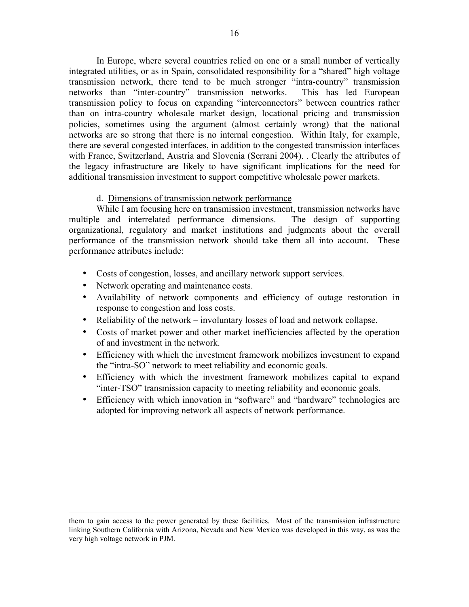In Europe, where several countries relied on one or a small number of vertically integrated utilities, or as in Spain, consolidated responsibility for a "shared" high voltage transmission network, there tend to be much stronger "intra-country" transmission networks than "inter-country" transmission networks. This has led European transmission policy to focus on expanding "interconnectors" between countries rather than on intra-country wholesale market design, locational pricing and transmission policies, sometimes using the argument (almost certainly wrong) that the national networks are so strong that there is no internal congestion. Within Italy, for example, there are several congested interfaces, in addition to the congested transmission interfaces with France, Switzerland, Austria and Slovenia (Serrani 2004). . Clearly the attributes of the legacy infrastructure are likely to have significant implications for the need for additional transmission investment to support competitive wholesale power markets.

#### d. Dimensions of transmission network performance

While I am focusing here on transmission investment, transmission networks have multiple and interrelated performance dimensions. The design of supporting organizational, regulatory and market institutions and judgments about the overall performance of the transmission network should take them all into account. These performance attributes include:

- Costs of congestion, losses, and ancillary network support services.
- Network operating and maintenance costs.
- Availability of network components and efficiency of outage restoration in response to congestion and loss costs.
- Reliability of the network involuntary losses of load and network collapse.
- Costs of market power and other market inefficiencies affected by the operation of and investment in the network.
- Efficiency with which the investment framework mobilizes investment to expand the "intra-SO" network to meet reliability and economic goals.
- Efficiency with which the investment framework mobilizes capital to expand "inter-TSO" transmission capacity to meeting reliability and economic goals.
- Efficiency with which innovation in "software" and "hardware" technologies are adopted for improving network all aspects of network performance.

them to gain access to the power generated by these facilities. Most of the transmission infrastructure linking Southern California with Arizona, Nevada and New Mexico was developed in this way, as was the very high voltage network in PJM.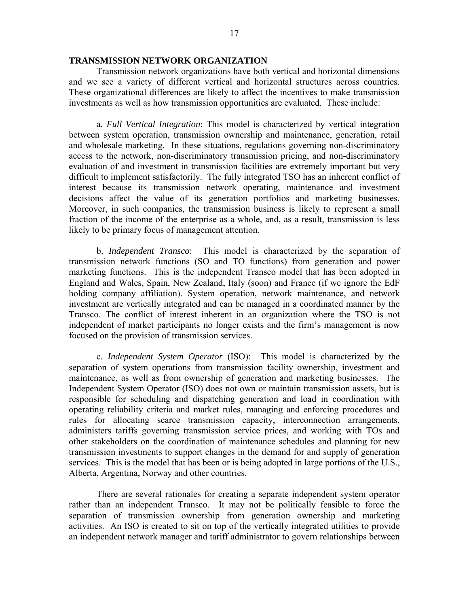#### **TRANSMISSION NETWORK ORGANIZATION**

Transmission network organizations have both vertical and horizontal dimensions and we see a variety of different vertical and horizontal structures across countries. These organizational differences are likely to affect the incentives to make transmission investments as well as how transmission opportunities are evaluated. These include:

 a. *Full Vertical Integration*: This model is characterized by vertical integration between system operation, transmission ownership and maintenance, generation, retail and wholesale marketing. In these situations, regulations governing non-discriminatory access to the network, non-discriminatory transmission pricing, and non-discriminatory evaluation of and investment in transmission facilities are extremely important but very difficult to implement satisfactorily. The fully integrated TSO has an inherent conflict of interest because its transmission network operating, maintenance and investment decisions affect the value of its generation portfolios and marketing businesses. Moreover, in such companies, the transmission business is likely to represent a small fraction of the income of the enterprise as a whole, and, as a result, transmission is less likely to be primary focus of management attention.

 b. *Independent Transco*: This model is characterized by the separation of transmission network functions (SO and TO functions) from generation and power marketing functions. This is the independent Transco model that has been adopted in England and Wales, Spain, New Zealand, Italy (soon) and France (if we ignore the EdF holding company affiliation). System operation, network maintenance, and network investment are vertically integrated and can be managed in a coordinated manner by the Transco. The conflict of interest inherent in an organization where the TSO is not independent of market participants no longer exists and the firm's management is now focused on the provision of transmission services.

 c. *Independent System Operator* (ISO): This model is characterized by the separation of system operations from transmission facility ownership, investment and maintenance, as well as from ownership of generation and marketing businesses. The Independent System Operator (ISO) does not own or maintain transmission assets, but is responsible for scheduling and dispatching generation and load in coordination with operating reliability criteria and market rules, managing and enforcing procedures and rules for allocating scarce transmission capacity, interconnection arrangements, administers tariffs governing transmission service prices, and working with TOs and other stakeholders on the coordination of maintenance schedules and planning for new transmission investments to support changes in the demand for and supply of generation services. This is the model that has been or is being adopted in large portions of the U.S., Alberta, Argentina, Norway and other countries.

 There are several rationales for creating a separate independent system operator rather than an independent Transco. It may not be politically feasible to force the separation of transmission ownership from generation ownership and marketing activities. An ISO is created to sit on top of the vertically integrated utilities to provide an independent network manager and tariff administrator to govern relationships between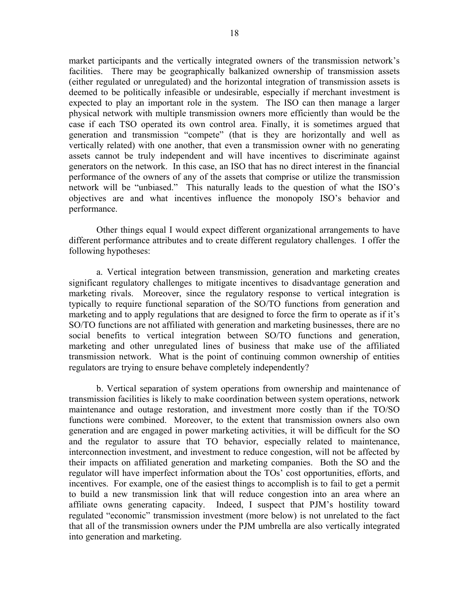market participants and the vertically integrated owners of the transmission network's facilities. There may be geographically balkanized ownership of transmission assets (either regulated or unregulated) and the horizontal integration of transmission assets is deemed to be politically infeasible or undesirable, especially if merchant investment is expected to play an important role in the system. The ISO can then manage a larger physical network with multiple transmission owners more efficiently than would be the case if each TSO operated its own control area. Finally, it is sometimes argued that generation and transmission "compete" (that is they are horizontally and well as vertically related) with one another, that even a transmission owner with no generating assets cannot be truly independent and will have incentives to discriminate against generators on the network. In this case, an ISO that has no direct interest in the financial performance of the owners of any of the assets that comprise or utilize the transmission network will be "unbiased." This naturally leads to the question of what the ISO's objectives are and what incentives influence the monopoly ISO's behavior and performance.

Other things equal I would expect different organizational arrangements to have different performance attributes and to create different regulatory challenges. I offer the following hypotheses:

a. Vertical integration between transmission, generation and marketing creates significant regulatory challenges to mitigate incentives to disadvantage generation and marketing rivals. Moreover, since the regulatory response to vertical integration is typically to require functional separation of the SO/TO functions from generation and marketing and to apply regulations that are designed to force the firm to operate as if it's SO/TO functions are not affiliated with generation and marketing businesses, there are no social benefits to vertical integration between SO/TO functions and generation, marketing and other unregulated lines of business that make use of the affiliated transmission network. What is the point of continuing common ownership of entities regulators are trying to ensure behave completely independently?

b. Vertical separation of system operations from ownership and maintenance of transmission facilities is likely to make coordination between system operations, network maintenance and outage restoration, and investment more costly than if the TO/SO functions were combined. Moreover, to the extent that transmission owners also own generation and are engaged in power marketing activities, it will be difficult for the SO and the regulator to assure that TO behavior, especially related to maintenance, interconnection investment, and investment to reduce congestion, will not be affected by their impacts on affiliated generation and marketing companies. Both the SO and the regulator will have imperfect information about the TOs' cost opportunities, efforts, and incentives. For example, one of the easiest things to accomplish is to fail to get a permit to build a new transmission link that will reduce congestion into an area where an affiliate owns generating capacity. Indeed, I suspect that PJM's hostility toward regulated "economic" transmission investment (more below) is not unrelated to the fact that all of the transmission owners under the PJM umbrella are also vertically integrated into generation and marketing.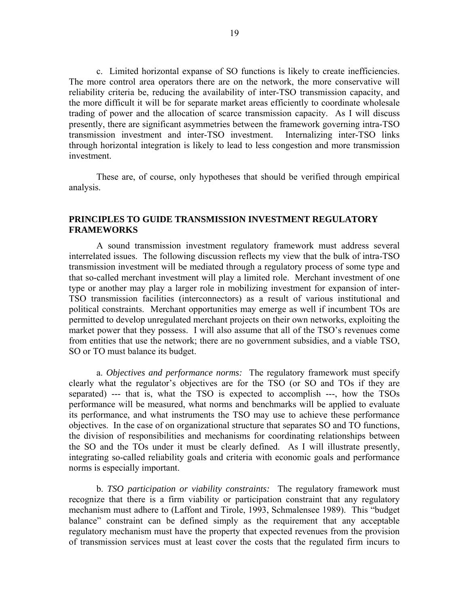c. Limited horizontal expanse of SO functions is likely to create inefficiencies. The more control area operators there are on the network, the more conservative will reliability criteria be, reducing the availability of inter-TSO transmission capacity, and the more difficult it will be for separate market areas efficiently to coordinate wholesale trading of power and the allocation of scarce transmission capacity. As I will discuss presently, there are significant asymmetries between the framework governing intra-TSO transmission investment and inter-TSO investment. Internalizing inter-TSO links through horizontal integration is likely to lead to less congestion and more transmission investment.

These are, of course, only hypotheses that should be verified through empirical analysis.

#### **PRINCIPLES TO GUIDE TRANSMISSION INVESTMENT REGULATORY FRAMEWORKS**

 A sound transmission investment regulatory framework must address several interrelated issues. The following discussion reflects my view that the bulk of intra-TSO transmission investment will be mediated through a regulatory process of some type and that so-called merchant investment will play a limited role. Merchant investment of one type or another may play a larger role in mobilizing investment for expansion of inter-TSO transmission facilities (interconnectors) as a result of various institutional and political constraints. Merchant opportunities may emerge as well if incumbent TOs are permitted to develop unregulated merchant projects on their own networks, exploiting the market power that they possess. I will also assume that all of the TSO's revenues come from entities that use the network; there are no government subsidies, and a viable TSO, SO or TO must balance its budget.

 a. *Objectives and performance norms:* The regulatory framework must specify clearly what the regulator's objectives are for the TSO (or SO and TOs if they are separated) --- that is, what the TSO is expected to accomplish ---, how the TSOs performance will be measured, what norms and benchmarks will be applied to evaluate its performance, and what instruments the TSO may use to achieve these performance objectives. In the case of on organizational structure that separates SO and TO functions, the division of responsibilities and mechanisms for coordinating relationships between the SO and the TOs under it must be clearly defined. As I will illustrate presently, integrating so-called reliability goals and criteria with economic goals and performance norms is especially important.

 b. *TSO participation or viability constraints:* The regulatory framework must recognize that there is a firm viability or participation constraint that any regulatory mechanism must adhere to (Laffont and Tirole, 1993, Schmalensee 1989). This "budget balance" constraint can be defined simply as the requirement that any acceptable regulatory mechanism must have the property that expected revenues from the provision of transmission services must at least cover the costs that the regulated firm incurs to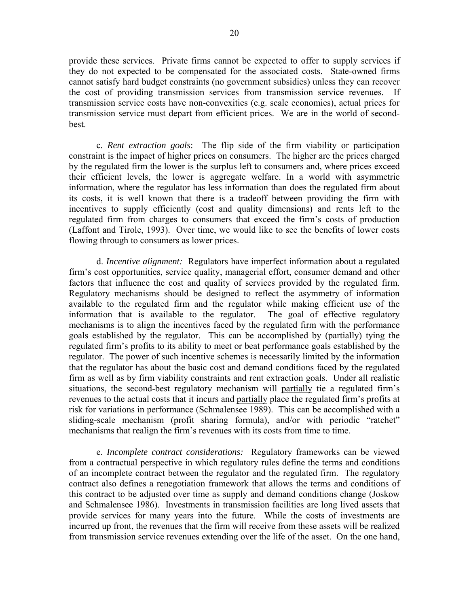provide these services. Private firms cannot be expected to offer to supply services if they do not expected to be compensated for the associated costs. State-owned firms cannot satisfy hard budget constraints (no government subsidies) unless they can recover the cost of providing transmission services from transmission service revenues. If transmission service costs have non-convexities (e.g. scale economies), actual prices for transmission service must depart from efficient prices. We are in the world of secondbest.

 c. *Rent extraction goals*: The flip side of the firm viability or participation constraint is the impact of higher prices on consumers. The higher are the prices charged by the regulated firm the lower is the surplus left to consumers and, where prices exceed their efficient levels, the lower is aggregate welfare. In a world with asymmetric information, where the regulator has less information than does the regulated firm about its costs, it is well known that there is a tradeoff between providing the firm with incentives to supply efficiently (cost and quality dimensions) and rents left to the regulated firm from charges to consumers that exceed the firm's costs of production (Laffont and Tirole, 1993). Over time, we would like to see the benefits of lower costs flowing through to consumers as lower prices.

 d. *Incentive alignment:* Regulators have imperfect information about a regulated firm's cost opportunities, service quality, managerial effort, consumer demand and other factors that influence the cost and quality of services provided by the regulated firm. Regulatory mechanisms should be designed to reflect the asymmetry of information available to the regulated firm and the regulator while making efficient use of the information that is available to the regulator. The goal of effective regulatory mechanisms is to align the incentives faced by the regulated firm with the performance goals established by the regulator. This can be accomplished by (partially) tying the regulated firm's profits to its ability to meet or beat performance goals established by the regulator. The power of such incentive schemes is necessarily limited by the information that the regulator has about the basic cost and demand conditions faced by the regulated firm as well as by firm viability constraints and rent extraction goals. Under all realistic situations, the second-best regulatory mechanism will partially tie a regulated firm's revenues to the actual costs that it incurs and partially place the regulated firm's profits at risk for variations in performance (Schmalensee 1989). This can be accomplished with a sliding-scale mechanism (profit sharing formula), and/or with periodic "ratchet" mechanisms that realign the firm's revenues with its costs from time to time.

 e. *Incomplete contract considerations:* Regulatory frameworks can be viewed from a contractual perspective in which regulatory rules define the terms and conditions of an incomplete contract between the regulator and the regulated firm. The regulatory contract also defines a renegotiation framework that allows the terms and conditions of this contract to be adjusted over time as supply and demand conditions change (Joskow and Schmalensee 1986). Investments in transmission facilities are long lived assets that provide services for many years into the future. While the costs of investments are incurred up front, the revenues that the firm will receive from these assets will be realized from transmission service revenues extending over the life of the asset. On the one hand,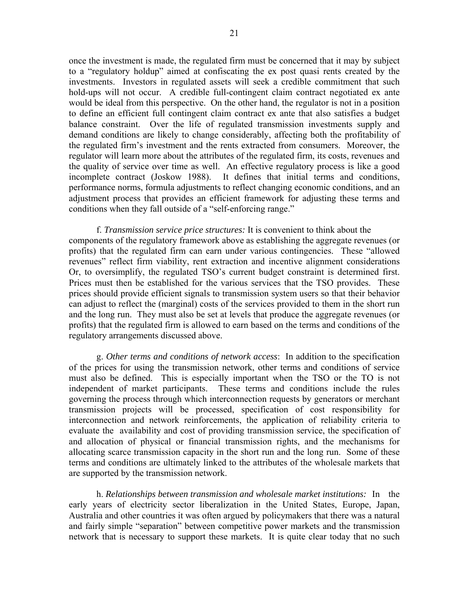once the investment is made, the regulated firm must be concerned that it may by subject to a "regulatory holdup" aimed at confiscating the ex post quasi rents created by the investments. Investors in regulated assets will seek a credible commitment that such hold-ups will not occur. A credible full-contingent claim contract negotiated ex ante would be ideal from this perspective. On the other hand, the regulator is not in a position to define an efficient full contingent claim contract ex ante that also satisfies a budget balance constraint. Over the life of regulated transmission investments supply and demand conditions are likely to change considerably, affecting both the profitability of the regulated firm's investment and the rents extracted from consumers. Moreover, the regulator will learn more about the attributes of the regulated firm, its costs, revenues and the quality of service over time as well. An effective regulatory process is like a good incomplete contract (Joskow 1988). It defines that initial terms and conditions, performance norms, formula adjustments to reflect changing economic conditions, and an adjustment process that provides an efficient framework for adjusting these terms and conditions when they fall outside of a "self-enforcing range."

 f. *Transmission service price structures:* It is convenient to think about the components of the regulatory framework above as establishing the aggregate revenues (or profits) that the regulated firm can earn under various contingencies. These "allowed revenues" reflect firm viability, rent extraction and incentive alignment considerations Or, to oversimplify, the regulated TSO's current budget constraint is determined first. Prices must then be established for the various services that the TSO provides. These prices should provide efficient signals to transmission system users so that their behavior can adjust to reflect the (marginal) costs of the services provided to them in the short run and the long run. They must also be set at levels that produce the aggregate revenues (or profits) that the regulated firm is allowed to earn based on the terms and conditions of the regulatory arrangements discussed above.

 g. *Other terms and conditions of network access*: In addition to the specification of the prices for using the transmission network, other terms and conditions of service must also be defined. This is especially important when the TSO or the TO is not independent of market participants. These terms and conditions include the rules governing the process through which interconnection requests by generators or merchant transmission projects will be processed, specification of cost responsibility for interconnection and network reinforcements, the application of reliability criteria to evaluate the availability and cost of providing transmission service, the specification of and allocation of physical or financial transmission rights, and the mechanisms for allocating scarce transmission capacity in the short run and the long run. Some of these terms and conditions are ultimately linked to the attributes of the wholesale markets that are supported by the transmission network.

 h. *Relationships between transmission and wholesale market institutions:* In the early years of electricity sector liberalization in the United States, Europe, Japan, Australia and other countries it was often argued by policymakers that there was a natural and fairly simple "separation" between competitive power markets and the transmission network that is necessary to support these markets. It is quite clear today that no such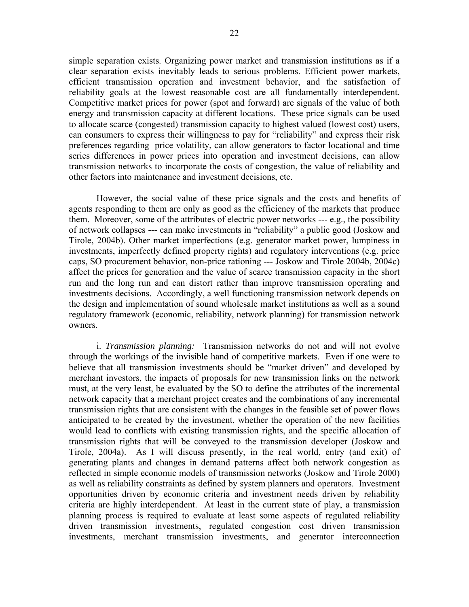simple separation exists. Organizing power market and transmission institutions as if a clear separation exists inevitably leads to serious problems. Efficient power markets, efficient transmission operation and investment behavior, and the satisfaction of reliability goals at the lowest reasonable cost are all fundamentally interdependent. Competitive market prices for power (spot and forward) are signals of the value of both energy and transmission capacity at different locations. These price signals can be used to allocate scarce (congested) transmission capacity to highest valued (lowest cost) users, can consumers to express their willingness to pay for "reliability" and express their risk preferences regarding price volatility, can allow generators to factor locational and time series differences in power prices into operation and investment decisions, can allow transmission networks to incorporate the costs of congestion, the value of reliability and other factors into maintenance and investment decisions, etc.

However, the social value of these price signals and the costs and benefits of agents responding to them are only as good as the efficiency of the markets that produce them. Moreover, some of the attributes of electric power networks --- e.g., the possibility of network collapses --- can make investments in "reliability" a public good (Joskow and Tirole, 2004b). Other market imperfections (e.g. generator market power, lumpiness in investments, imperfectly defined property rights) and regulatory interventions (e.g. price caps, SO procurement behavior, non-price rationing --- Joskow and Tirole 2004b, 2004c) affect the prices for generation and the value of scarce transmission capacity in the short run and the long run and can distort rather than improve transmission operating and investments decisions. Accordingly, a well functioning transmission network depends on the design and implementation of sound wholesale market institutions as well as a sound regulatory framework (economic, reliability, network planning) for transmission network owners.

i. *Transmission planning:* Transmission networks do not and will not evolve through the workings of the invisible hand of competitive markets. Even if one were to believe that all transmission investments should be "market driven" and developed by merchant investors, the impacts of proposals for new transmission links on the network must, at the very least, be evaluated by the SO to define the attributes of the incremental network capacity that a merchant project creates and the combinations of any incremental transmission rights that are consistent with the changes in the feasible set of power flows anticipated to be created by the investment, whether the operation of the new facilities would lead to conflicts with existing transmission rights, and the specific allocation of transmission rights that will be conveyed to the transmission developer (Joskow and Tirole, 2004a). As I will discuss presently, in the real world, entry (and exit) of generating plants and changes in demand patterns affect both network congestion as reflected in simple economic models of transmission networks (Joskow and Tirole 2000) as well as reliability constraints as defined by system planners and operators. Investment opportunities driven by economic criteria and investment needs driven by reliability criteria are highly interdependent. At least in the current state of play, a transmission planning process is required to evaluate at least some aspects of regulated reliability driven transmission investments, regulated congestion cost driven transmission investments, merchant transmission investments, and generator interconnection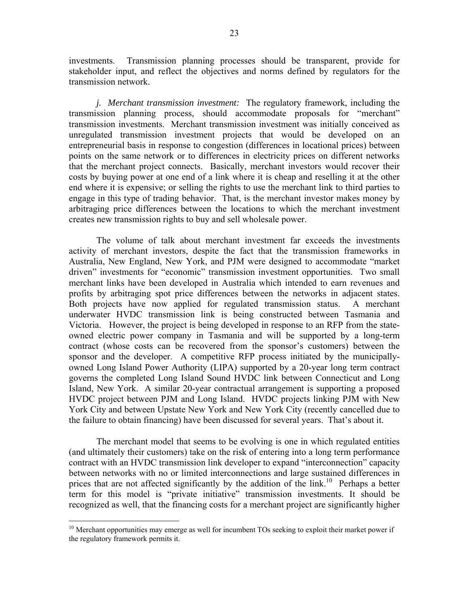investments. Transmission planning processes should be transparent, provide for stakeholder input, and reflect the objectives and norms defined by regulators for the transmission network.

*j. Merchant transmission investment:* The regulatory framework, including the transmission planning process, should accommodate proposals for "merchant" transmission investments. Merchant transmission investment was initially conceived as unregulated transmission investment projects that would be developed on an entrepreneurial basis in response to congestion (differences in locational prices) between points on the same network or to differences in electricity prices on different networks that the merchant project connects. Basically, merchant investors would recover their costs by buying power at one end of a link where it is cheap and reselling it at the other end where it is expensive; or selling the rights to use the merchant link to third parties to engage in this type of trading behavior. That, is the merchant investor makes money by arbitraging price differences between the locations to which the merchant investment creates new transmission rights to buy and sell wholesale power.

The volume of talk about merchant investment far exceeds the investments activity of merchant investors, despite the fact that the transmission frameworks in Australia, New England, New York, and PJM were designed to accommodate "market driven" investments for "economic" transmission investment opportunities. Two small merchant links have been developed in Australia which intended to earn revenues and profits by arbitraging spot price differences between the networks in adjacent states. Both projects have now applied for regulated transmission status. A merchant underwater HVDC transmission link is being constructed between Tasmania and Victoria. However, the project is being developed in response to an RFP from the stateowned electric power company in Tasmania and will be supported by a long-term contract (whose costs can be recovered from the sponsor's customers) between the sponsor and the developer. A competitive RFP process initiated by the municipallyowned Long Island Power Authority (LIPA) supported by a 20-year long term contract governs the completed Long Island Sound HVDC link between Connecticut and Long Island, New York. A similar 20-year contractual arrangement is supporting a proposed HVDC project between PJM and Long Island. HVDC projects linking PJM with New York City and between Upstate New York and New York City (recently cancelled due to the failure to obtain financing) have been discussed for several years. That's about it.

The merchant model that seems to be evolving is one in which regulated entities (and ultimately their customers) take on the risk of entering into a long term performance contract with an HVDC transmission link developer to expand "interconnection" capacity between networks with no or limited interconnections and large sustained differences in prices that are not affected significantly by the addition of the link.<sup>10</sup> Perhaps a better term for this model is "private initiative" transmission investments. It should be recognized as well, that the financing costs for a merchant project are significantly higher

<sup>&</sup>lt;sup>10</sup> Merchant opportunities may emerge as well for incumbent TOs seeking to exploit their market power if the regulatory framework permits it.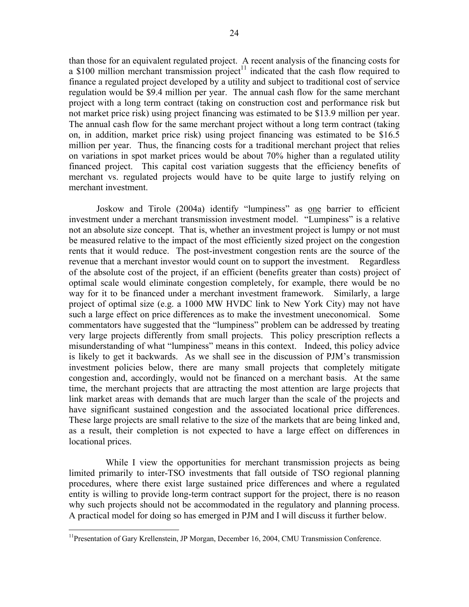than those for an equivalent regulated project. A recent analysis of the financing costs for a \$100 million merchant transmission project<sup>11</sup> indicated that the cash flow required to finance a regulated project developed by a utility and subject to traditional cost of service regulation would be \$9.4 million per year. The annual cash flow for the same merchant project with a long term contract (taking on construction cost and performance risk but not market price risk) using project financing was estimated to be \$13.9 million per year. The annual cash flow for the same merchant project without a long term contract (taking on, in addition, market price risk) using project financing was estimated to be \$16.5 million per year. Thus, the financing costs for a traditional merchant project that relies on variations in spot market prices would be about 70% higher than a regulated utility financed project. This capital cost variation suggests that the efficiency benefits of merchant vs. regulated projects would have to be quite large to justify relying on merchant investment.

Joskow and Tirole (2004a) identify "lumpiness" as one barrier to efficient investment under a merchant transmission investment model. "Lumpiness" is a relative not an absolute size concept. That is, whether an investment project is lumpy or not must be measured relative to the impact of the most efficiently sized project on the congestion rents that it would reduce. The post-investment congestion rents are the source of the revenue that a merchant investor would count on to support the investment. Regardless of the absolute cost of the project, if an efficient (benefits greater than costs) project of optimal scale would eliminate congestion completely, for example, there would be no way for it to be financed under a merchant investment framework. Similarly, a large project of optimal size (e.g. a 1000 MW HVDC link to New York City) may not have such a large effect on price differences as to make the investment uneconomical. Some commentators have suggested that the "lumpiness" problem can be addressed by treating very large projects differently from small projects. This policy prescription reflects a misunderstanding of what "lumpiness" means in this context. Indeed, this policy advice is likely to get it backwards. As we shall see in the discussion of PJM's transmission investment policies below, there are many small projects that completely mitigate congestion and, accordingly, would not be financed on a merchant basis. At the same time, the merchant projects that are attracting the most attention are large projects that link market areas with demands that are much larger than the scale of the projects and have significant sustained congestion and the associated locational price differences. These large projects are small relative to the size of the markets that are being linked and, as a result, their completion is not expected to have a large effect on differences in locational prices.

While I view the opportunities for merchant transmission projects as being limited primarily to inter-TSO investments that fall outside of TSO regional planning procedures, where there exist large sustained price differences and where a regulated entity is willing to provide long-term contract support for the project, there is no reason why such projects should not be accommodated in the regulatory and planning process. A practical model for doing so has emerged in PJM and I will discuss it further below.

<sup>&</sup>lt;sup>11</sup>Presentation of Gary Krellenstein, JP Morgan, December 16, 2004, CMU Transmission Conference.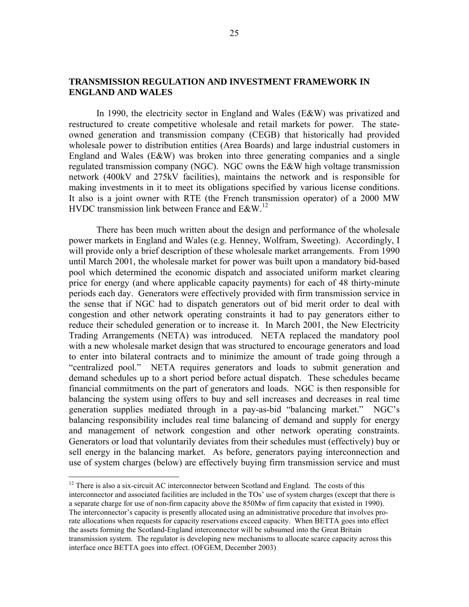#### **TRANSMISSION REGULATION AND INVESTMENT FRAMEWORK IN ENGLAND AND WALES**

 In 1990, the electricity sector in England and Wales (E&W) was privatized and restructured to create competitive wholesale and retail markets for power. The stateowned generation and transmission company (CEGB) that historically had provided wholesale power to distribution entities (Area Boards) and large industrial customers in England and Wales (E&W) was broken into three generating companies and a single regulated transmission company (NGC). NGC owns the E&W high voltage transmission network (400kV and 275kV facilities), maintains the network and is responsible for making investments in it to meet its obligations specified by various license conditions. It also is a joint owner with RTE (the French transmission operator) of a 2000 MW HVDC transmission link between France and E&W.<sup>12</sup>

There has been much written about the design and performance of the wholesale power markets in England and Wales (e.g. Henney, Wolfram, Sweeting). Accordingly, I will provide only a brief description of these wholesale market arrangements. From 1990 until March 2001, the wholesale market for power was built upon a mandatory bid-based pool which determined the economic dispatch and associated uniform market clearing price for energy (and where applicable capacity payments) for each of 48 thirty-minute periods each day. Generators were effectively provided with firm transmission service in the sense that if NGC had to dispatch generators out of bid merit order to deal with congestion and other network operating constraints it had to pay generators either to reduce their scheduled generation or to increase it. In March 2001, the New Electricity Trading Arrangements (NETA) was introduced. NETA replaced the mandatory pool with a new wholesale market design that was structured to encourage generators and load to enter into bilateral contracts and to minimize the amount of trade going through a "centralized pool." NETA requires generators and loads to submit generation and demand schedules up to a short period before actual dispatch. These schedules became financial commitments on the part of generators and loads. NGC is then responsible for balancing the system using offers to buy and sell increases and decreases in real time generation supplies mediated through in a pay-as-bid "balancing market." NGC's balancing responsibility includes real time balancing of demand and supply for energy and management of network congestion and other network operating constraints. Generators or load that voluntarily deviates from their schedules must (effectively) buy or sell energy in the balancing market. As before, generators paying interconnection and use of system charges (below) are effectively buying firm transmission service and must

<sup>&</sup>lt;sup>12</sup> There is also a six-circuit AC interconnector between Scotland and England. The costs of this interconnector and associated facilities are included in the TOs' use of system charges (except that there is a separate charge for use of non-firm capacity above the 850Mw of firm capacity that existed in 1990). The interconnector's capacity is presently allocated using an administrative procedure that involves prorate allocations when requests for capacity reservations exceed capacity. When BETTA goes into effect the assets forming the Scotland-England interconnector will be subsumed into the Great Britain transmission system. The regulator is developing new mechanisms to allocate scarce capacity across this interface once BETTA goes into effect. (OFGEM, December 2003)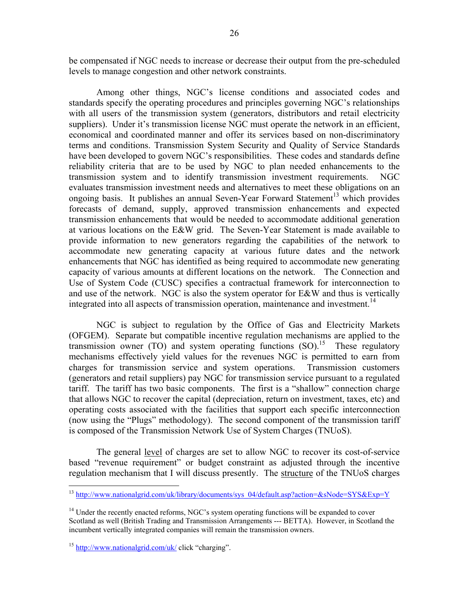be compensated if NGC needs to increase or decrease their output from the pre-scheduled levels to manage congestion and other network constraints.

Among other things, NGC's license conditions and associated codes and standards specify the operating procedures and principles governing NGC's relationships with all users of the transmission system (generators, distributors and retail electricity suppliers). Under it's transmission license NGC must operate the network in an efficient, economical and coordinated manner and offer its services based on non-discriminatory terms and conditions. Transmission System Security and Quality of Service Standards have been developed to govern NGC's responsibilities. These codes and standards define reliability criteria that are to be used by NGC to plan needed enhancements to the transmission system and to identify transmission investment requirements. NGC evaluates transmission investment needs and alternatives to meet these obligations on an ongoing basis. It publishes an annual Seven-Year Forward Statement<sup>13</sup> which provides forecasts of demand, supply, approved transmission enhancements and expected transmission enhancements that would be needed to accommodate additional generation at various locations on the E&W grid. The Seven-Year Statement is made available to provide information to new generators regarding the capabilities of the network to accommodate new generating capacity at various future dates and the network enhancements that NGC has identified as being required to accommodate new generating capacity of various amounts at different locations on the network. The Connection and Use of System Code (CUSC) specifies a contractual framework for interconnection to and use of the network. NGC is also the system operator for E&W and thus is vertically integrated into all aspects of transmission operation, maintenance and investment.<sup>14</sup>

 NGC is subject to regulation by the Office of Gas and Electricity Markets (OFGEM). Separate but compatible incentive regulation mechanisms are applied to the transmission owner (TO) and system operating functions  $(SO)$ .<sup>15</sup> These regulatory mechanisms effectively yield values for the revenues NGC is permitted to earn from charges for transmission service and system operations. Transmission customers (generators and retail suppliers) pay NGC for transmission service pursuant to a regulated tariff. The tariff has two basic components. The first is a "shallow" connection charge that allows NGC to recover the capital (depreciation, return on investment, taxes, etc) and operating costs associated with the facilities that support each specific interconnection (now using the "Plugs" methodology). The second component of the transmission tariff is composed of the Transmission Network Use of System Charges (TNUoS).

 The general level of charges are set to allow NGC to recover its cost-of-service based "revenue requirement" or budget constraint as adjusted through the incentive regulation mechanism that I will discuss presently. The structure of the TNUoS charges

<sup>&</sup>lt;sup>13</sup> http://www.nationalgrid.com/uk/library/documents/sys\_04/default.asp?action=&sNode=SYS&Exp=Y

<sup>&</sup>lt;sup>14</sup> Under the recently enacted reforms, NGC's system operating functions will be expanded to cover Scotland as well (British Trading and Transmission Arrangements --- BETTA). However, in Scotland the incumbent vertically integrated companies will remain the transmission owners.

<sup>&</sup>lt;sup>15</sup> http://www.nationalgrid.com/uk/ click "charging".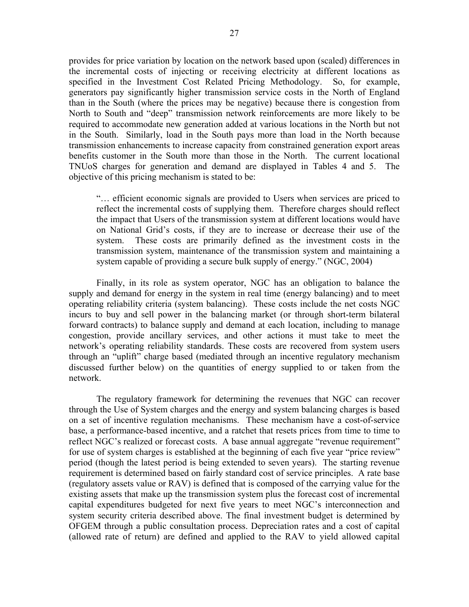provides for price variation by location on the network based upon (scaled) differences in the incremental costs of injecting or receiving electricity at different locations as specified in the Investment Cost Related Pricing Methodology. So, for example, generators pay significantly higher transmission service costs in the North of England than in the South (where the prices may be negative) because there is congestion from North to South and "deep" transmission network reinforcements are more likely to be required to accommodate new generation added at various locations in the North but not in the South. Similarly, load in the South pays more than load in the North because transmission enhancements to increase capacity from constrained generation export areas benefits customer in the South more than those in the North. The current locational TNUoS charges for generation and demand are displayed in Tables 4 and 5. The objective of this pricing mechanism is stated to be:

"… efficient economic signals are provided to Users when services are priced to reflect the incremental costs of supplying them. Therefore charges should reflect the impact that Users of the transmission system at different locations would have on National Grid's costs, if they are to increase or decrease their use of the system. These costs are primarily defined as the investment costs in the transmission system, maintenance of the transmission system and maintaining a system capable of providing a secure bulk supply of energy." (NGC, 2004)

Finally, in its role as system operator, NGC has an obligation to balance the supply and demand for energy in the system in real time (energy balancing) and to meet operating reliability criteria (system balancing). These costs include the net costs NGC incurs to buy and sell power in the balancing market (or through short-term bilateral forward contracts) to balance supply and demand at each location, including to manage congestion, provide ancillary services, and other actions it must take to meet the network's operating reliability standards. These costs are recovered from system users through an "uplift" charge based (mediated through an incentive regulatory mechanism discussed further below) on the quantities of energy supplied to or taken from the network.

 The regulatory framework for determining the revenues that NGC can recover through the Use of System charges and the energy and system balancing charges is based on a set of incentive regulation mechanisms. These mechanism have a cost-of-service base, a performance-based incentive, and a ratchet that resets prices from time to time to reflect NGC's realized or forecast costs. A base annual aggregate "revenue requirement" for use of system charges is established at the beginning of each five year "price review" period (though the latest period is being extended to seven years). The starting revenue requirement is determined based on fairly standard cost of service principles. A rate base (regulatory assets value or RAV) is defined that is composed of the carrying value for the existing assets that make up the transmission system plus the forecast cost of incremental capital expenditures budgeted for next five years to meet NGC's interconnection and system security criteria described above. The final investment budget is determined by OFGEM through a public consultation process. Depreciation rates and a cost of capital (allowed rate of return) are defined and applied to the RAV to yield allowed capital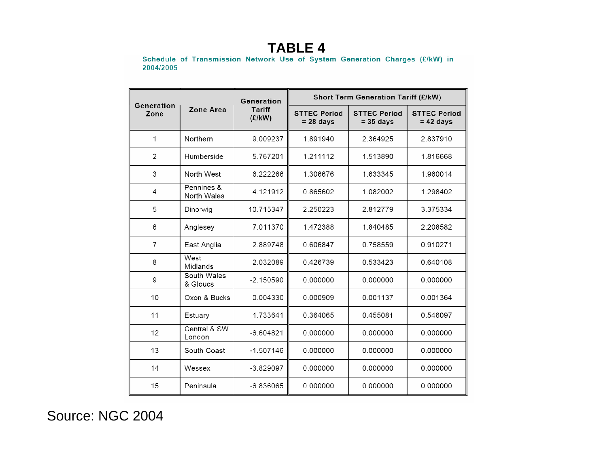### **TABLE 4**

2004/2005

| Generation<br>Generation |                           | <b>Short Term Generation Tariff (£/kW)</b> |                                    |                                    |                                  |
|--------------------------|---------------------------|--------------------------------------------|------------------------------------|------------------------------------|----------------------------------|
| Zone                     | Zone Area                 | <b>Tariff</b><br>(E/KW)                    | <b>STTEC Period</b><br>$= 28$ days | <b>STTEC Period</b><br>$= 35$ days | <b>STTEC Period</b><br>= 42 days |
| 1                        | Northern                  | 9.009237                                   | 1.891940                           | 2.364925                           | 2.837910                         |
| 2                        | Humberside                | 5.767201                                   | 1.211112                           | 1.513890                           | 1.816668                         |
| 3                        | North West                | 6.222266                                   | 1.306676                           | 1.633345                           | 1.960014                         |
| 4                        | Pennines &<br>North Wales | 4.121912                                   | 0.865602                           | 1.082002                           | 1.298402                         |
| 5                        | Dinorwig                  | 10.715347                                  | 2.250223                           | 2.812779                           | 3.375334                         |
| 6                        | Anglesey                  | 7.011370                                   | 1.472388                           | 1.840485                           | 2.208582                         |
| $\overline{7}$           | East Anglia               | 2.889748                                   | 0.606847                           | 0.758559                           | 0.910271                         |
| 8                        | West<br>Midlands          | 2.032089                                   | 0.426739                           | 0.533423                           | 0.640108                         |
| 9                        | South Wales<br>& Gloucs   | $-2.150590$                                | 0.000000                           | 0.000000                           | 0.000000                         |
| 10                       | Oxon & Bucks              | 0.004330                                   | 0.000909                           | 0.001137                           | 0.001364                         |
| 11                       | Estuary                   | 1.733641                                   | 0.364065                           | 0.455081                           | 0.546097                         |
| 12                       | Central & SW<br>London    | $-6.604821$                                | 0.000000                           | 0.000000                           | 0.000000                         |
| 13                       | South Coast               | $-1.507146$                                | 0.000000                           | 0.000000                           | 0.000000                         |
| 14                       | Wessex                    | $-3.829097$                                | 0.000000                           | 0.000000                           | 0.000000                         |
| 15                       | Peninsula                 | $-6.836065$                                | 0.000000                           | 0.000000                           | 0.000000                         |

Source: NGC 2004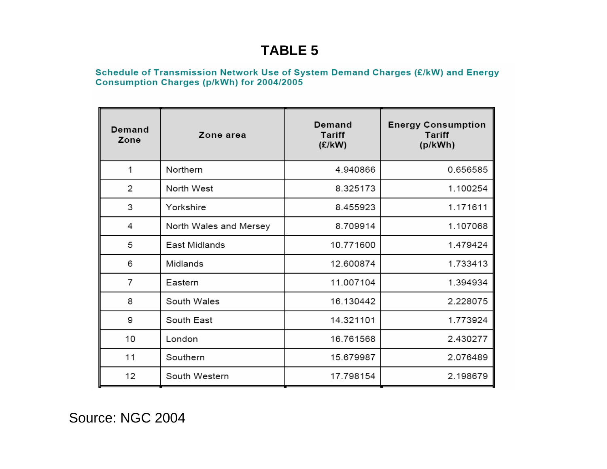### **TABLE 5**

Schedule of Transmission Network Use of System Demand Charges (£/kW) and Energy Consumption Charges (p/kWh) for 2004/2005

| Demand<br>Zone | Zone area              | <b>Demand</b><br><b>Tariff</b><br>(E/kW) | <b>Energy Consumption</b><br><b>Tariff</b><br>(p/kWh) |
|----------------|------------------------|------------------------------------------|-------------------------------------------------------|
| 1              | Northern               | 4.940866                                 | 0.656585                                              |
| 2              | North West             | 8.325173                                 | 1.100254                                              |
| 3              | Yorkshire              | 8.455923                                 | 1.171611                                              |
| 4              | North Wales and Mersey | 8.709914                                 | 1.107068                                              |
| 5              | East Midlands          | 10.771600                                | 1.479424                                              |
| 6              | Midlands               | 12.600874                                | 1.733413                                              |
| $\overline{7}$ | Eastern                | 11.007104                                | 1.394934                                              |
| 8              | South Wales            | 16.130442                                | 2.228075                                              |
| 9              | South East             | 14.321101                                | 1.773924                                              |
| 10             | London                 | 16.761568                                | 2.430277                                              |
| 11             | Southern               | 15.679987                                | 2.076489                                              |
| 12             | South Western          | 17.798154                                | 2.198679                                              |

Source: NGC 2004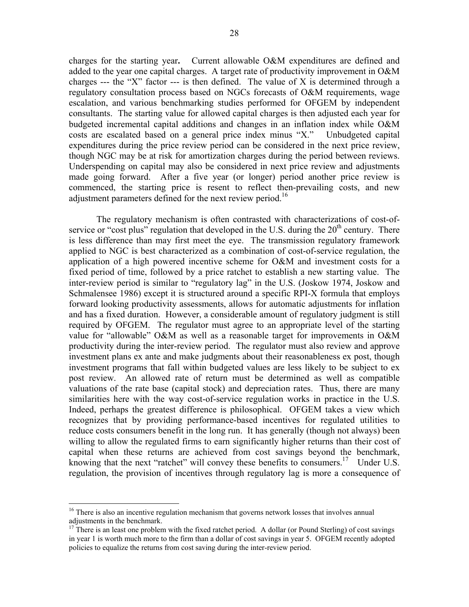charges for the starting year**.** Current allowable O&M expenditures are defined and added to the year one capital charges. A target rate of productivity improvement in O&M charges  $-$ -- the "X" factor  $-$ -- is then defined. The value of X is determined through a regulatory consultation process based on NGCs forecasts of O&M requirements, wage escalation, and various benchmarking studies performed for OFGEM by independent consultants. The starting value for allowed capital charges is then adjusted each year for budgeted incremental capital additions and changes in an inflation index while O&M costs are escalated based on a general price index minus "X." Unbudgeted capital expenditures during the price review period can be considered in the next price review, though NGC may be at risk for amortization charges during the period between reviews. Underspending on capital may also be considered in next price review and adjustments made going forward. After a five year (or longer) period another price review is commenced, the starting price is resent to reflect then-prevailing costs, and new adjustment parameters defined for the next review period.<sup>16</sup>

The regulatory mechanism is often contrasted with characterizations of cost-ofservice or "cost plus" regulation that developed in the U.S. during the  $20<sup>th</sup>$  century. There is less difference than may first meet the eye. The transmission regulatory framework applied to NGC is best characterized as a combination of cost-of-service regulation, the application of a high powered incentive scheme for O&M and investment costs for a fixed period of time, followed by a price ratchet to establish a new starting value. The inter-review period is similar to "regulatory lag" in the U.S. (Joskow 1974, Joskow and Schmalensee 1986) except it is structured around a specific RPI-X formula that employs forward looking productivity assessments, allows for automatic adjustments for inflation and has a fixed duration. However, a considerable amount of regulatory judgment is still required by OFGEM. The regulator must agree to an appropriate level of the starting value for "allowable" O&M as well as a reasonable target for improvements in O&M productivity during the inter-review period. The regulator must also review and approve investment plans ex ante and make judgments about their reasonableness ex post, though investment programs that fall within budgeted values are less likely to be subject to ex post review. An allowed rate of return must be determined as well as compatible valuations of the rate base (capital stock) and depreciation rates. Thus, there are many similarities here with the way cost-of-service regulation works in practice in the U.S. Indeed, perhaps the greatest difference is philosophical. OFGEM takes a view which recognizes that by providing performance-based incentives for regulated utilities to reduce costs consumers benefit in the long run. It has generally (though not always) been willing to allow the regulated firms to earn significantly higher returns than their cost of capital when these returns are achieved from cost savings beyond the benchmark, knowing that the next "ratchet" will convey these benefits to consumers.<sup>17</sup> Under U.S. regulation, the provision of incentives through regulatory lag is more a consequence of

<sup>&</sup>lt;sup>16</sup> There is also an incentive regulation mechanism that governs network losses that involves annual adjustments in the benchmark.

 $17$  There is an least one problem with the fixed ratchet period. A dollar (or Pound Sterling) of cost savings in year 1 is worth much more to the firm than a dollar of cost savings in year 5. OFGEM recently adopted policies to equalize the returns from cost saving during the inter-review period.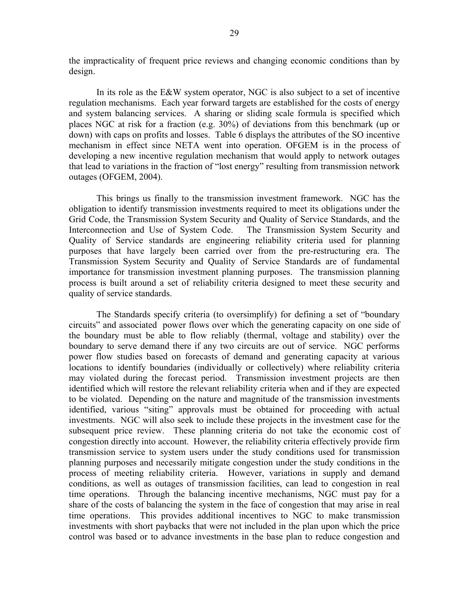the impracticality of frequent price reviews and changing economic conditions than by design.

 In its role as the E&W system operator, NGC is also subject to a set of incentive regulation mechanisms. Each year forward targets are established for the costs of energy and system balancing services. A sharing or sliding scale formula is specified which places NGC at risk for a fraction (e.g. 30%) of deviations from this benchmark (up or down) with caps on profits and losses. Table 6 displays the attributes of the SO incentive mechanism in effect since NETA went into operation. OFGEM is in the process of developing a new incentive regulation mechanism that would apply to network outages that lead to variations in the fraction of "lost energy" resulting from transmission network outages (OFGEM, 2004).

 This brings us finally to the transmission investment framework. NGC has the obligation to identify transmission investments required to meet its obligations under the Grid Code, the Transmission System Security and Quality of Service Standards, and the Interconnection and Use of System Code. The Transmission System Security and Quality of Service standards are engineering reliability criteria used for planning purposes that have largely been carried over from the pre-restructuring era. The Transmission System Security and Quality of Service Standards are of fundamental importance for transmission investment planning purposes. The transmission planning process is built around a set of reliability criteria designed to meet these security and quality of service standards.

 The Standards specify criteria (to oversimplify) for defining a set of "boundary circuits" and associated power flows over which the generating capacity on one side of the boundary must be able to flow reliably (thermal, voltage and stability) over the boundary to serve demand there if any two circuits are out of service. NGC performs power flow studies based on forecasts of demand and generating capacity at various locations to identify boundaries (individually or collectively) where reliability criteria may violated during the forecast period. Transmission investment projects are then identified which will restore the relevant reliability criteria when and if they are expected to be violated. Depending on the nature and magnitude of the transmission investments identified, various "siting" approvals must be obtained for proceeding with actual investments. NGC will also seek to include these projects in the investment case for the subsequent price review. These planning criteria do not take the economic cost of congestion directly into account. However, the reliability criteria effectively provide firm transmission service to system users under the study conditions used for transmission planning purposes and necessarily mitigate congestion under the study conditions in the process of meeting reliability criteria. However, variations in supply and demand conditions, as well as outages of transmission facilities, can lead to congestion in real time operations. Through the balancing incentive mechanisms, NGC must pay for a share of the costs of balancing the system in the face of congestion that may arise in real time operations. This provides additional incentives to NGC to make transmission investments with short paybacks that were not included in the plan upon which the price control was based or to advance investments in the base plan to reduce congestion and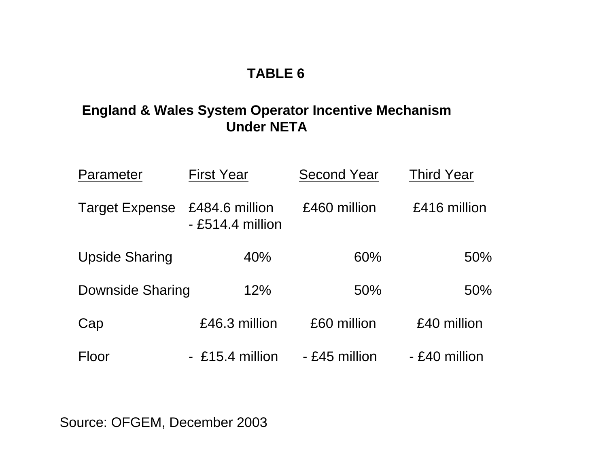### **TABLE 6**

### **England & Wales System Operator Incentive Mechanism Under NETA**

| Parameter               | <b>First Year</b>                    | <b>Second Year</b> | <b>Third Year</b> |
|-------------------------|--------------------------------------|--------------------|-------------------|
| <b>Target Expense</b>   | £484.6 million<br>$-$ £514.4 million | £460 million       | £416 million      |
| <b>Upside Sharing</b>   | 40%                                  | 60%                | 50%               |
| <b>Downside Sharing</b> | 12%                                  | 50%                | 50%               |
| Cap                     | £46.3 million                        | £60 million        | £40 million       |
| Floor                   | - $£15.4$ million                    | - £45 million      | - £40 million     |

Source: OFGEM, December 2003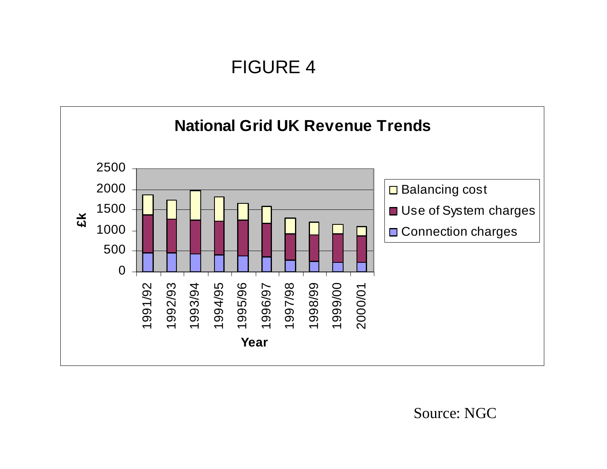# FIGURE 4



Source: NGC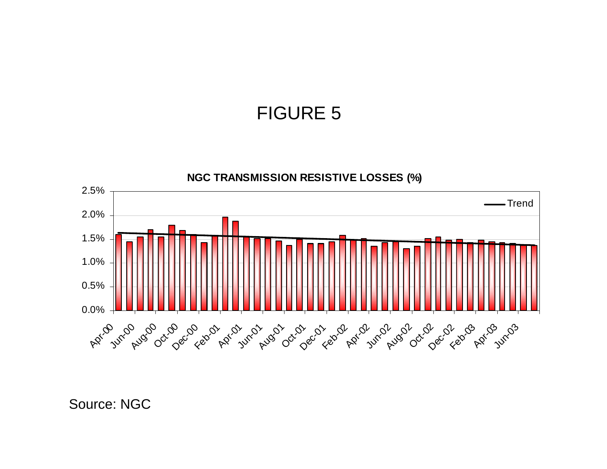### FIGURE 5



Source: NGC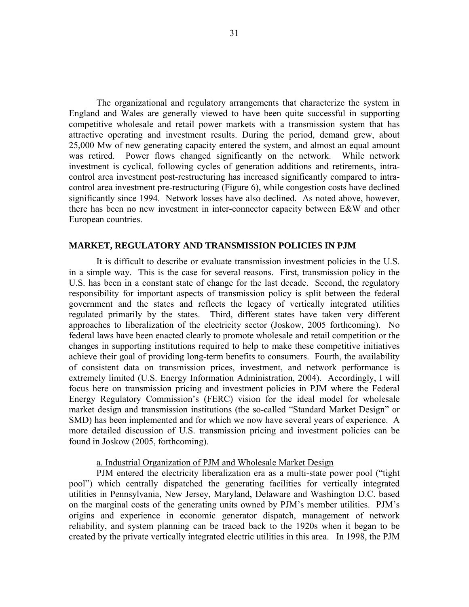The organizational and regulatory arrangements that characterize the system in England and Wales are generally viewed to have been quite successful in supporting competitive wholesale and retail power markets with a transmission system that has attractive operating and investment results. During the period, demand grew, about 25,000 Mw of new generating capacity entered the system, and almost an equal amount was retired. Power flows changed significantly on the network. While network investment is cyclical, following cycles of generation additions and retirements, intracontrol area investment post-restructuring has increased significantly compared to intracontrol area investment pre-restructuring (Figure 6), while congestion costs have declined significantly since 1994. Network losses have also declined. As noted above, however, there has been no new investment in inter-connector capacity between E&W and other European countries.

#### **MARKET, REGULATORY AND TRANSMISSION POLICIES IN PJM**

 It is difficult to describe or evaluate transmission investment policies in the U.S. in a simple way. This is the case for several reasons. First, transmission policy in the U.S. has been in a constant state of change for the last decade. Second, the regulatory responsibility for important aspects of transmission policy is split between the federal government and the states and reflects the legacy of vertically integrated utilities regulated primarily by the states. Third, different states have taken very different approaches to liberalization of the electricity sector (Joskow, 2005 forthcoming). No federal laws have been enacted clearly to promote wholesale and retail competition or the changes in supporting institutions required to help to make these competitive initiatives achieve their goal of providing long-term benefits to consumers. Fourth, the availability of consistent data on transmission prices, investment, and network performance is extremely limited (U.S. Energy Information Administration, 2004). Accordingly, I will focus here on transmission pricing and investment policies in PJM where the Federal Energy Regulatory Commission's (FERC) vision for the ideal model for wholesale market design and transmission institutions (the so-called "Standard Market Design" or SMD) has been implemented and for which we now have several years of experience. A more detailed discussion of U.S. transmission pricing and investment policies can be found in Joskow (2005, forthcoming).

#### a. Industrial Organization of PJM and Wholesale Market Design

 PJM entered the electricity liberalization era as a multi-state power pool ("tight pool") which centrally dispatched the generating facilities for vertically integrated utilities in Pennsylvania, New Jersey, Maryland, Delaware and Washington D.C. based on the marginal costs of the generating units owned by PJM's member utilities. PJM's origins and experience in economic generator dispatch, management of network reliability, and system planning can be traced back to the 1920s when it began to be created by the private vertically integrated electric utilities in this area. In 1998, the PJM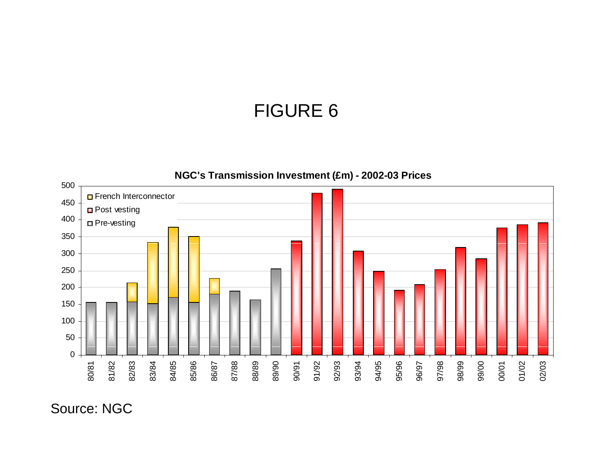### FIGURE 6



Source: NGC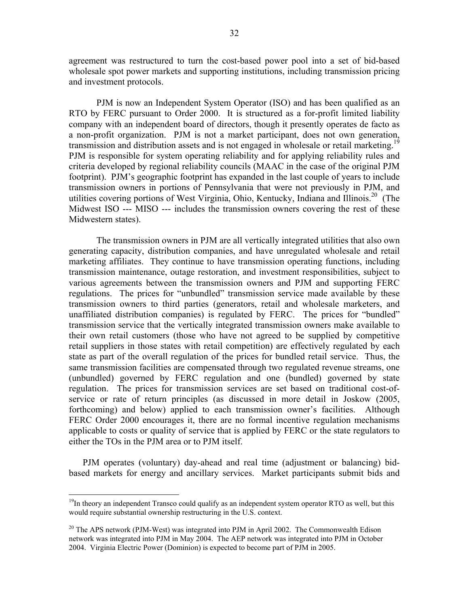agreement was restructured to turn the cost-based power pool into a set of bid-based wholesale spot power markets and supporting institutions, including transmission pricing and investment protocols.

PJM is now an Independent System Operator (ISO) and has been qualified as an RTO by FERC pursuant to Order 2000. It is structured as a for-profit limited liability company with an independent board of directors, though it presently operates de facto as a non-profit organization. PJM is not a market participant, does not own generation, transmission and distribution assets and is not engaged in wholesale or retail marketing.<sup>19</sup> PJM is responsible for system operating reliability and for applying reliability rules and criteria developed by regional reliability councils (MAAC in the case of the original PJM footprint). PJM's geographic footprint has expanded in the last couple of years to include transmission owners in portions of Pennsylvania that were not previously in PJM, and utilities covering portions of West Virginia, Ohio, Kentucky, Indiana and Illinois.<sup>20</sup> (The Midwest ISO --- MISO --- includes the transmission owners covering the rest of these Midwestern states).

The transmission owners in PJM are all vertically integrated utilities that also own generating capacity, distribution companies, and have unregulated wholesale and retail marketing affiliates. They continue to have transmission operating functions, including transmission maintenance, outage restoration, and investment responsibilities, subject to various agreements between the transmission owners and PJM and supporting FERC regulations. The prices for "unbundled" transmission service made available by these transmission owners to third parties (generators, retail and wholesale marketers, and unaffiliated distribution companies) is regulated by FERC. The prices for "bundled" transmission service that the vertically integrated transmission owners make available to their own retail customers (those who have not agreed to be supplied by competitive retail suppliers in those states with retail competition) are effectively regulated by each state as part of the overall regulation of the prices for bundled retail service. Thus, the same transmission facilities are compensated through two regulated revenue streams, one (unbundled) governed by FERC regulation and one (bundled) governed by state regulation. The prices for transmission services are set based on traditional cost-ofservice or rate of return principles (as discussed in more detail in Joskow (2005, forthcoming) and below) applied to each transmission owner's facilities. Although FERC Order 2000 encourages it, there are no formal incentive regulation mechanisms applicable to costs or quality of service that is applied by FERC or the state regulators to either the TOs in the PJM area or to PJM itself.

PJM operates (voluntary) day-ahead and real time (adjustment or balancing) bidbased markets for energy and ancillary services. Market participants submit bids and

1

 $19$ In theory an independent Transco could qualify as an independent system operator RTO as well, but this would require substantial ownership restructuring in the U.S. context.

<sup>&</sup>lt;sup>20</sup> The APS network (PJM-West) was integrated into PJM in April 2002. The Commonwealth Edison network was integrated into PJM in May 2004. The AEP network was integrated into PJM in October 2004. Virginia Electric Power (Dominion) is expected to become part of PJM in 2005.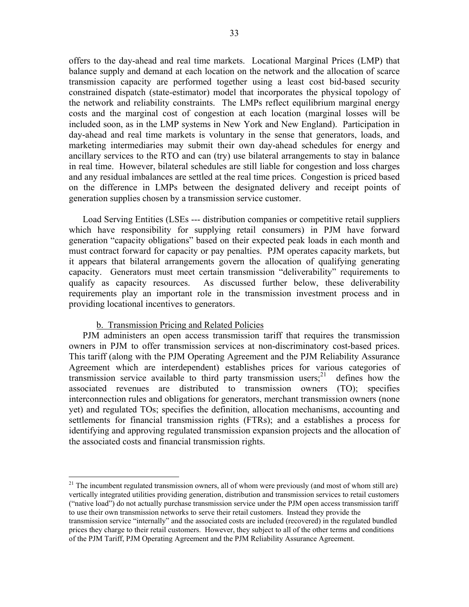offers to the day-ahead and real time markets. Locational Marginal Prices (LMP) that balance supply and demand at each location on the network and the allocation of scarce transmission capacity are performed together using a least cost bid-based security constrained dispatch (state-estimator) model that incorporates the physical topology of the network and reliability constraints. The LMPs reflect equilibrium marginal energy costs and the marginal cost of congestion at each location (marginal losses will be included soon, as in the LMP systems in New York and New England). Participation in day-ahead and real time markets is voluntary in the sense that generators, loads, and marketing intermediaries may submit their own day-ahead schedules for energy and ancillary services to the RTO and can (try) use bilateral arrangements to stay in balance in real time. However, bilateral schedules are still liable for congestion and loss charges and any residual imbalances are settled at the real time prices. Congestion is priced based on the difference in LMPs between the designated delivery and receipt points of generation supplies chosen by a transmission service customer.

Load Serving Entities (LSEs --- distribution companies or competitive retail suppliers which have responsibility for supplying retail consumers) in PJM have forward generation "capacity obligations" based on their expected peak loads in each month and must contract forward for capacity or pay penalties. PJM operates capacity markets, but it appears that bilateral arrangements govern the allocation of qualifying generating capacity. Generators must meet certain transmission "deliverability" requirements to qualify as capacity resources. As discussed further below, these deliverability requirements play an important role in the transmission investment process and in providing locational incentives to generators.

#### b. Transmission Pricing and Related Policies

 $\overline{a}$ 

PJM administers an open access transmission tariff that requires the transmission owners in PJM to offer transmission services at non-discriminatory cost-based prices. This tariff (along with the PJM Operating Agreement and the PJM Reliability Assurance Agreement which are interdependent) establishes prices for various categories of transmission service available to third party transmission users; $^{21}$  defines how the associated revenues are distributed to transmission owners (TO); specifies interconnection rules and obligations for generators, merchant transmission owners (none yet) and regulated TOs; specifies the definition, allocation mechanisms, accounting and settlements for financial transmission rights (FTRs); and a establishes a process for identifying and approving regulated transmission expansion projects and the allocation of the associated costs and financial transmission rights.

 $21$  The incumbent regulated transmission owners, all of whom were previously (and most of whom still are) vertically integrated utilities providing generation, distribution and transmission services to retail customers ("native load") do not actually purchase transmission service under the PJM open access transmission tariff to use their own transmission networks to serve their retail customers. Instead they provide the transmission service "internally" and the associated costs are included (recovered) in the regulated bundled prices they charge to their retail customers. However, they subject to all of the other terms and conditions of the PJM Tariff, PJM Operating Agreement and the PJM Reliability Assurance Agreement.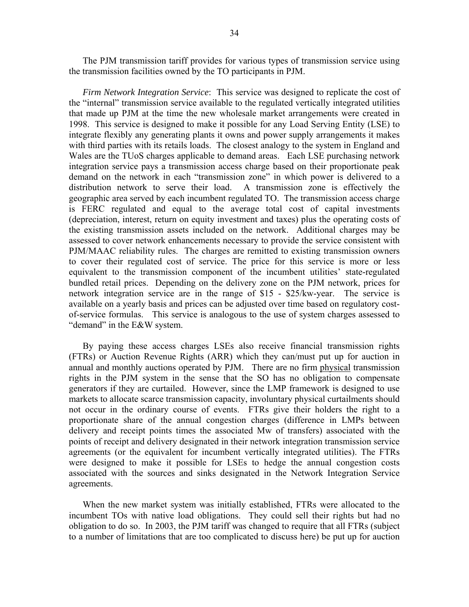The PJM transmission tariff provides for various types of transmission service using the transmission facilities owned by the TO participants in PJM.

*Firm Network Integration Service*: This service was designed to replicate the cost of the "internal" transmission service available to the regulated vertically integrated utilities that made up PJM at the time the new wholesale market arrangements were created in 1998. This service is designed to make it possible for any Load Serving Entity (LSE) to integrate flexibly any generating plants it owns and power supply arrangements it makes with third parties with its retails loads. The closest analogy to the system in England and Wales are the TUoS charges applicable to demand areas. Each LSE purchasing network integration service pays a transmission access charge based on their proportionate peak demand on the network in each "transmission zone" in which power is delivered to a distribution network to serve their load. A transmission zone is effectively the geographic area served by each incumbent regulated TO. The transmission access charge is FERC regulated and equal to the average total cost of capital investments (depreciation, interest, return on equity investment and taxes) plus the operating costs of the existing transmission assets included on the network. Additional charges may be assessed to cover network enhancements necessary to provide the service consistent with PJM/MAAC reliability rules. The charges are remitted to existing transmission owners to cover their regulated cost of service. The price for this service is more or less equivalent to the transmission component of the incumbent utilities' state-regulated bundled retail prices. Depending on the delivery zone on the PJM network, prices for network integration service are in the range of \$15 - \$25/kw-year. The service is available on a yearly basis and prices can be adjusted over time based on regulatory costof-service formulas. This service is analogous to the use of system charges assessed to "demand" in the E&W system.

By paying these access charges LSEs also receive financial transmission rights (FTRs) or Auction Revenue Rights (ARR) which they can/must put up for auction in annual and monthly auctions operated by PJM. There are no firm physical transmission rights in the PJM system in the sense that the SO has no obligation to compensate generators if they are curtailed. However, since the LMP framework is designed to use markets to allocate scarce transmission capacity, involuntary physical curtailments should not occur in the ordinary course of events. FTRs give their holders the right to a proportionate share of the annual congestion charges (difference in LMPs between delivery and receipt points times the associated Mw of transfers) associated with the points of receipt and delivery designated in their network integration transmission service agreements (or the equivalent for incumbent vertically integrated utilities). The FTRs were designed to make it possible for LSEs to hedge the annual congestion costs associated with the sources and sinks designated in the Network Integration Service agreements.

When the new market system was initially established, FTRs were allocated to the incumbent TOs with native load obligations. They could sell their rights but had no obligation to do so. In 2003, the PJM tariff was changed to require that all FTRs (subject to a number of limitations that are too complicated to discuss here) be put up for auction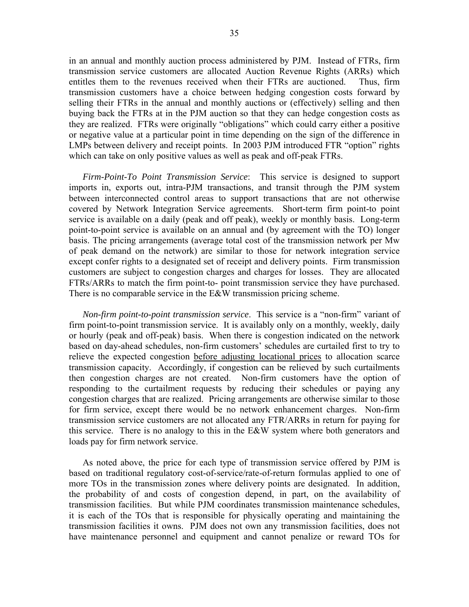in an annual and monthly auction process administered by PJM. Instead of FTRs, firm transmission service customers are allocated Auction Revenue Rights (ARRs) which entitles them to the revenues received when their FTRs are auctioned. Thus, firm transmission customers have a choice between hedging congestion costs forward by selling their FTRs in the annual and monthly auctions or (effectively) selling and then buying back the FTRs at in the PJM auction so that they can hedge congestion costs as they are realized. FTRs were originally "obligations" which could carry either a positive or negative value at a particular point in time depending on the sign of the difference in LMPs between delivery and receipt points. In 2003 PJM introduced FTR "option" rights which can take on only positive values as well as peak and off-peak FTRs.

*Firm-Point-To Point Transmission Service*: This service is designed to support imports in, exports out, intra-PJM transactions, and transit through the PJM system between interconnected control areas to support transactions that are not otherwise covered by Network Integration Service agreements. Short-term firm point-to point service is available on a daily (peak and off peak), weekly or monthly basis. Long-term point-to-point service is available on an annual and (by agreement with the TO) longer basis. The pricing arrangements (average total cost of the transmission network per Mw of peak demand on the network) are similar to those for network integration service except confer rights to a designated set of receipt and delivery points. Firm transmission customers are subject to congestion charges and charges for losses. They are allocated FTRs/ARRs to match the firm point-to- point transmission service they have purchased. There is no comparable service in the E&W transmission pricing scheme.

*Non-firm point-to-point transmission service*. This service is a "non-firm" variant of firm point-to-point transmission service. It is availably only on a monthly, weekly, daily or hourly (peak and off-peak) basis. When there is congestion indicated on the network based on day-ahead schedules, non-firm customers' schedules are curtailed first to try to relieve the expected congestion before adjusting locational prices to allocation scarce transmission capacity. Accordingly, if congestion can be relieved by such curtailments then congestion charges are not created. Non-firm customers have the option of responding to the curtailment requests by reducing their schedules or paying any congestion charges that are realized. Pricing arrangements are otherwise similar to those for firm service, except there would be no network enhancement charges. Non-firm transmission service customers are not allocated any FTR/ARRs in return for paying for this service. There is no analogy to this in the  $E\&W$  system where both generators and loads pay for firm network service.

As noted above, the price for each type of transmission service offered by PJM is based on traditional regulatory cost-of-service/rate-of-return formulas applied to one of more TOs in the transmission zones where delivery points are designated. In addition, the probability of and costs of congestion depend, in part, on the availability of transmission facilities. But while PJM coordinates transmission maintenance schedules, it is each of the TOs that is responsible for physically operating and maintaining the transmission facilities it owns. PJM does not own any transmission facilities, does not have maintenance personnel and equipment and cannot penalize or reward TOs for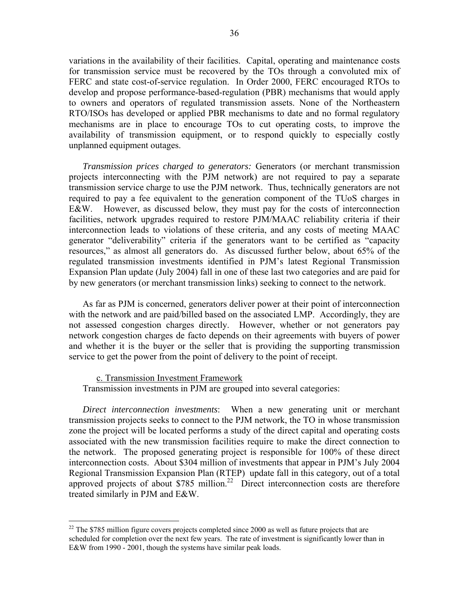variations in the availability of their facilities. Capital, operating and maintenance costs for transmission service must be recovered by the TOs through a convoluted mix of FERC and state cost-of-service regulation. In Order 2000, FERC encouraged RTOs to develop and propose performance-based-regulation (PBR) mechanisms that would apply to owners and operators of regulated transmission assets. None of the Northeastern RTO/ISOs has developed or applied PBR mechanisms to date and no formal regulatory mechanisms are in place to encourage TOs to cut operating costs, to improve the availability of transmission equipment, or to respond quickly to especially costly unplanned equipment outages.

*Transmission prices charged to generators:* Generators (or merchant transmission projects interconnecting with the PJM network) are not required to pay a separate transmission service charge to use the PJM network. Thus, technically generators are not required to pay a fee equivalent to the generation component of the TUoS charges in E&W. However, as discussed below, they must pay for the costs of interconnection facilities, network upgrades required to restore PJM/MAAC reliability criteria if their interconnection leads to violations of these criteria, and any costs of meeting MAAC generator "deliverability" criteria if the generators want to be certified as "capacity resources," as almost all generators do. As discussed further below, about 65% of the regulated transmission investments identified in PJM's latest Regional Transmission Expansion Plan update (July 2004) fall in one of these last two categories and are paid for by new generators (or merchant transmission links) seeking to connect to the network.

As far as PJM is concerned, generators deliver power at their point of interconnection with the network and are paid/billed based on the associated LMP. Accordingly, they are not assessed congestion charges directly. However, whether or not generators pay network congestion charges de facto depends on their agreements with buyers of power and whether it is the buyer or the seller that is providing the supporting transmission service to get the power from the point of delivery to the point of receipt.

#### c. Transmission Investment Framework

 $\overline{a}$ 

Transmission investments in PJM are grouped into several categories:

*Direct interconnection investments*: When a new generating unit or merchant transmission projects seeks to connect to the PJM network, the TO in whose transmission zone the project will be located performs a study of the direct capital and operating costs associated with the new transmission facilities require to make the direct connection to the network. The proposed generating project is responsible for 100% of these direct interconnection costs. About \$304 million of investments that appear in PJM's July 2004 Regional Transmission Expansion Plan (RTEP) update fall in this category, out of a total approved projects of about  $$785$  million.<sup>22</sup> Direct interconnection costs are therefore treated similarly in PJM and E&W.

 $22$  The \$785 million figure covers projects completed since 2000 as well as future projects that are scheduled for completion over the next few years. The rate of investment is significantly lower than in E&W from 1990 - 2001, though the systems have similar peak loads.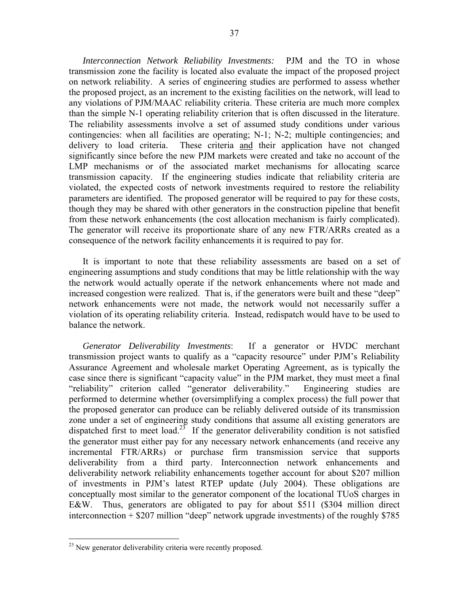*Interconnection Network Reliability Investments:* PJM and the TO in whose transmission zone the facility is located also evaluate the impact of the proposed project on network reliability. A series of engineering studies are performed to assess whether the proposed project, as an increment to the existing facilities on the network, will lead to any violations of PJM/MAAC reliability criteria. These criteria are much more complex than the simple N-1 operating reliability criterion that is often discussed in the literature. The reliability assessments involve a set of assumed study conditions under various contingencies: when all facilities are operating; N-1; N-2; multiple contingencies; and delivery to load criteria. These criteria and their application have not changed significantly since before the new PJM markets were created and take no account of the LMP mechanisms or of the associated market mechanisms for allocating scarce transmission capacity. If the engineering studies indicate that reliability criteria are violated, the expected costs of network investments required to restore the reliability parameters are identified. The proposed generator will be required to pay for these costs, though they may be shared with other generators in the construction pipeline that benefit from these network enhancements (the cost allocation mechanism is fairly complicated). The generator will receive its proportionate share of any new FTR/ARRs created as a consequence of the network facility enhancements it is required to pay for.

It is important to note that these reliability assessments are based on a set of engineering assumptions and study conditions that may be little relationship with the way the network would actually operate if the network enhancements where not made and increased congestion were realized. That is, if the generators were built and these "deep" network enhancements were not made, the network would not necessarily suffer a violation of its operating reliability criteria. Instead, redispatch would have to be used to balance the network.

*Generator Deliverability Investments*: If a generator or HVDC merchant transmission project wants to qualify as a "capacity resource" under PJM's Reliability Assurance Agreement and wholesale market Operating Agreement, as is typically the case since there is significant "capacity value" in the PJM market, they must meet a final "reliability" criterion called "generator deliverability." Engineering studies are performed to determine whether (oversimplifying a complex process) the full power that the proposed generator can produce can be reliably delivered outside of its transmission zone under a set of engineering study conditions that assume all existing generators are dispatched first to meet load.<sup>23</sup> If the generator deliverability condition is not satisfied the generator must either pay for any necessary network enhancements (and receive any incremental FTR/ARRs) or purchase firm transmission service that supports deliverability from a third party. Interconnection network enhancements and deliverability network reliability enhancements together account for about \$207 million of investments in PJM's latest RTEP update (July 2004). These obligations are conceptually most similar to the generator component of the locational TUoS charges in E&W. Thus, generators are obligated to pay for about \$511 (\$304 million direct interconnection + \$207 million "deep" network upgrade investments) of the roughly \$785

<u>.</u>

<sup>&</sup>lt;sup>23</sup> New generator deliverability criteria were recently proposed.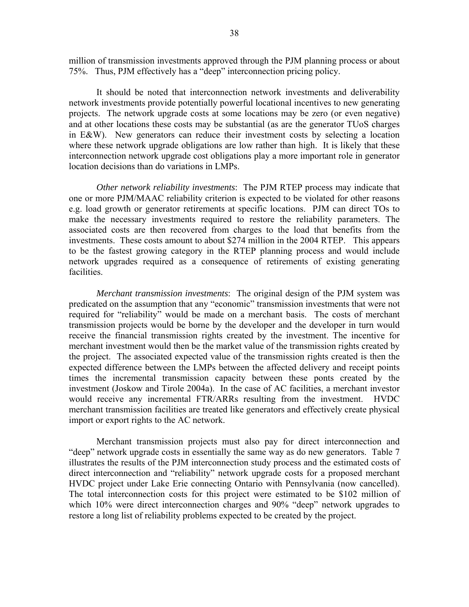million of transmission investments approved through the PJM planning process or about 75%. Thus, PJM effectively has a "deep" interconnection pricing policy.

It should be noted that interconnection network investments and deliverability network investments provide potentially powerful locational incentives to new generating projects. The network upgrade costs at some locations may be zero (or even negative) and at other locations these costs may be substantial (as are the generator TUoS charges in E&W). New generators can reduce their investment costs by selecting a location where these network upgrade obligations are low rather than high. It is likely that these interconnection network upgrade cost obligations play a more important role in generator location decisions than do variations in LMPs.

*Other network reliability investments*: The PJM RTEP process may indicate that one or more PJM/MAAC reliability criterion is expected to be violated for other reasons e.g. load growth or generator retirements at specific locations. PJM can direct TOs to make the necessary investments required to restore the reliability parameters. The associated costs are then recovered from charges to the load that benefits from the investments. These costs amount to about \$274 million in the 2004 RTEP. This appears to be the fastest growing category in the RTEP planning process and would include network upgrades required as a consequence of retirements of existing generating facilities.

*Merchant transmission investments*: The original design of the PJM system was predicated on the assumption that any "economic" transmission investments that were not required for "reliability" would be made on a merchant basis. The costs of merchant transmission projects would be borne by the developer and the developer in turn would receive the financial transmission rights created by the investment. The incentive for merchant investment would then be the market value of the transmission rights created by the project. The associated expected value of the transmission rights created is then the expected difference between the LMPs between the affected delivery and receipt points times the incremental transmission capacity between these ponts created by the investment (Joskow and Tirole 2004a). In the case of AC facilities, a merchant investor would receive any incremental FTR/ARRs resulting from the investment. HVDC merchant transmission facilities are treated like generators and effectively create physical import or export rights to the AC network.

Merchant transmission projects must also pay for direct interconnection and "deep" network upgrade costs in essentially the same way as do new generators. Table 7 illustrates the results of the PJM interconnection study process and the estimated costs of direct interconnection and "reliability" network upgrade costs for a proposed merchant HVDC project under Lake Erie connecting Ontario with Pennsylvania (now cancelled). The total interconnection costs for this project were estimated to be \$102 million of which 10% were direct interconnection charges and 90% "deep" network upgrades to restore a long list of reliability problems expected to be created by the project.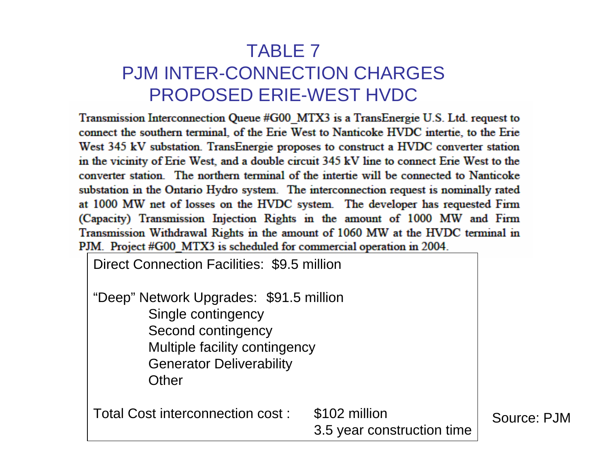## TABLE 7PJM INTER-CONNECTION CHARGESPROPOSED ERIE-WEST HVDC

Transmission Interconnection Queue #G00\_MTX3 is a TransEnergie U.S. Ltd. request to connect the southern terminal, of the Erie West to Nanticoke HVDC intertie, to the Erie West 345 kV substation. TransEnergie proposes to construct a HVDC converter station in the vicinity of Erie West, and a double circuit 345 kV line to connect Erie West to the converter station. The northern terminal of the intertie will be connected to Nanticoke substation in the Ontario Hydro system. The interconnection request is nominally rated at 1000 MW net of losses on the HVDC system. The developer has requested Firm (Capacity) Transmission Injection Rights in the amount of 1000 MW and Firm Transmission Withdrawal Rights in the amount of 1060 MW at the HVDC terminal in PJM. Project #G00 MTX3 is scheduled for commercial operation in 2004.

Direct Connection Facilities: \$9.5 million

"Deep" Network Upgrades: \$91.5 million Single contingency Second contingency Multiple facility contingency Generator Deliverability **Other** 

Total Cost interconnection cost : \$102 million

3.5 year construction time

Source: PJM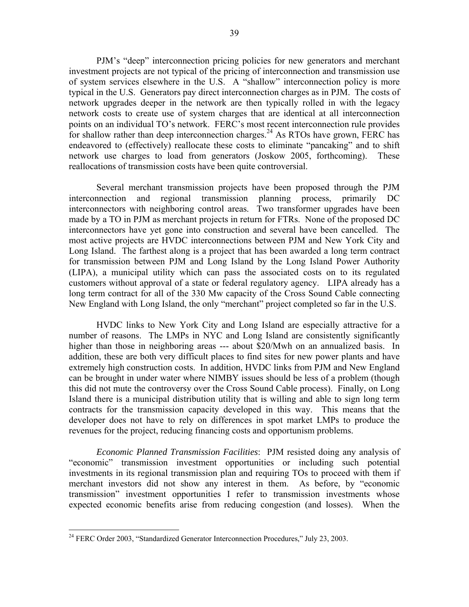PJM's "deep" interconnection pricing policies for new generators and merchant investment projects are not typical of the pricing of interconnection and transmission use of system services elsewhere in the U.S. A "shallow" interconnection policy is more typical in the U.S. Generators pay direct interconnection charges as in PJM. The costs of network upgrades deeper in the network are then typically rolled in with the legacy network costs to create use of system charges that are identical at all interconnection points on an individual TO's network. FERC's most recent interconnection rule provides for shallow rather than deep interconnection charges.<sup>24</sup> As RTOs have grown, FERC has endeavored to (effectively) reallocate these costs to eliminate "pancaking" and to shift network use charges to load from generators (Joskow 2005, forthcoming). These reallocations of transmission costs have been quite controversial.

Several merchant transmission projects have been proposed through the PJM interconnection and regional transmission planning process, primarily DC interconnectors with neighboring control areas. Two transformer upgrades have been made by a TO in PJM as merchant projects in return for FTRs. None of the proposed DC interconnectors have yet gone into construction and several have been cancelled. The most active projects are HVDC interconnections between PJM and New York City and Long Island. The farthest along is a project that has been awarded a long term contract for transmission between PJM and Long Island by the Long Island Power Authority (LIPA), a municipal utility which can pass the associated costs on to its regulated customers without approval of a state or federal regulatory agency. LIPA already has a long term contract for all of the 330 Mw capacity of the Cross Sound Cable connecting New England with Long Island, the only "merchant" project completed so far in the U.S.

HVDC links to New York City and Long Island are especially attractive for a number of reasons. The LMPs in NYC and Long Island are consistently significantly higher than those in neighboring areas --- about \$20/Mwh on an annualized basis. In addition, these are both very difficult places to find sites for new power plants and have extremely high construction costs. In addition, HVDC links from PJM and New England can be brought in under water where NIMBY issues should be less of a problem (though this did not mute the controversy over the Cross Sound Cable process). Finally, on Long Island there is a municipal distribution utility that is willing and able to sign long term contracts for the transmission capacity developed in this way. This means that the developer does not have to rely on differences in spot market LMPs to produce the revenues for the project, reducing financing costs and opportunism problems.

*Economic Planned Transmission Facilities*: PJM resisted doing any analysis of "economic" transmission investment opportunities or including such potential investments in its regional transmission plan and requiring TOs to proceed with them if merchant investors did not show any interest in them. As before, by "economic transmission" investment opportunities I refer to transmission investments whose expected economic benefits arise from reducing congestion (and losses). When the

 $24$  FERC Order 2003, "Standardized Generator Interconnection Procedures," July 23, 2003.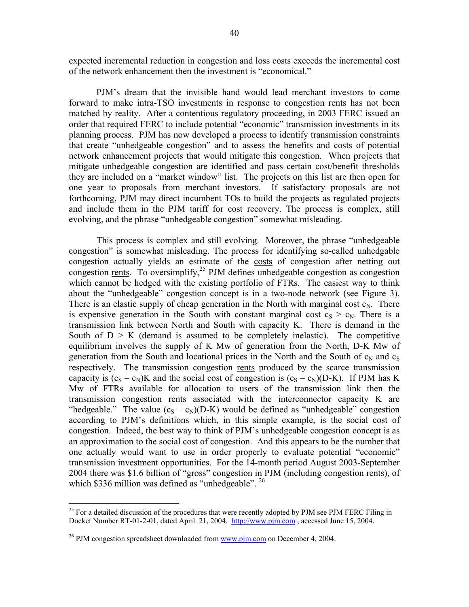expected incremental reduction in congestion and loss costs exceeds the incremental cost of the network enhancement then the investment is "economical."

PJM's dream that the invisible hand would lead merchant investors to come forward to make intra-TSO investments in response to congestion rents has not been matched by reality. After a contentious regulatory proceeding, in 2003 FERC issued an order that required FERC to include potential "economic" transmission investments in its planning process. PJM has now developed a process to identify transmission constraints that create "unhedgeable congestion" and to assess the benefits and costs of potential network enhancement projects that would mitigate this congestion. When projects that mitigate unhedgeable congestion are identified and pass certain cost/benefit thresholds they are included on a "market window" list. The projects on this list are then open for one year to proposals from merchant investors. If satisfactory proposals are not forthcoming, PJM may direct incumbent TOs to build the projects as regulated projects and include them in the PJM tariff for cost recovery. The process is complex, still evolving, and the phrase "unhedgeable congestion" somewhat misleading.

This process is complex and still evolving. Moreover, the phrase "unhedgeable congestion" is somewhat misleading. The process for identifying so-called unhedgable congestion actually yields an estimate of the costs of congestion after netting out congestion rents. To oversimplify,<sup>25</sup> PJM defines unhedgeable congestion as congestion which cannot be hedged with the existing portfolio of FTRs. The easiest way to think about the "unhedgeable" congestion concept is in a two-node network (see Figure 3). There is an elastic supply of cheap generation in the North with marginal cost  $c_N$ . There is expensive generation in the South with constant marginal cost  $c_S > c_N$ . There is a transmission link between North and South with capacity K. There is demand in the South of  $D > K$  (demand is assumed to be completely inelastic). The competitive equilibrium involves the supply of K Mw of generation from the North, D-K Mw of generation from the South and locational prices in the North and the South of  $c_N$  and  $c_S$ respectively. The transmission congestion rents produced by the scarce transmission capacity is  $(c_S - c_N)K$  and the social cost of congestion is  $(c_S - c_N)(D-K)$ . If PJM has K Mw of FTRs available for allocation to users of the transmission link then the transmission congestion rents associated with the interconnector capacity K are "hedgeable." The value  $(c_S - c_N)(D-K)$  would be defined as "unhedgeable" congestion according to PJM's definitions which, in this simple example, is the social cost of congestion. Indeed, the best way to think of PJM's unhedgeable congestion concept is as an approximation to the social cost of congestion. And this appears to be the number that one actually would want to use in order properly to evaluate potential "economic" transmission investment opportunities. For the 14-month period August 2003-September 2004 there was \$1.6 billion of "gross" congestion in PJM (including congestion rents), of which \$336 million was defined as "unhedgeable". 26

 $25$  For a detailed discussion of the procedures that were recently adopted by PJM see PJM FERC Filing in Docket Number RT-01-2-01, dated April 21, 2004. http://www.pjm.com , accessed June 15, 2004.

<sup>&</sup>lt;sup>26</sup> PJM congestion spreadsheet downloaded from www.pjm.com on December 4, 2004.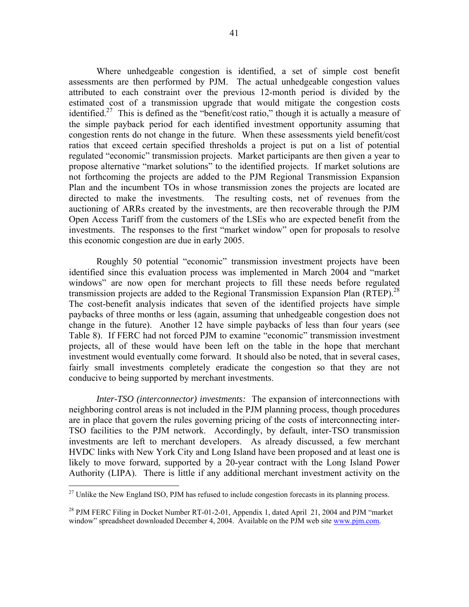Where unhedgeable congestion is identified, a set of simple cost benefit assessments are then performed by PJM. The actual unhedgeable congestion values attributed to each constraint over the previous 12-month period is divided by the estimated cost of a transmission upgrade that would mitigate the congestion costs identified.<sup>27</sup> This is defined as the "benefit/cost ratio," though it is actually a measure of the simple payback period for each identified investment opportunity assuming that congestion rents do not change in the future. When these assessments yield benefit/cost ratios that exceed certain specified thresholds a project is put on a list of potential regulated "economic" transmission projects. Market participants are then given a year to propose alternative "market solutions" to the identified projects. If market solutions are not forthcoming the projects are added to the PJM Regional Transmission Expansion Plan and the incumbent TOs in whose transmission zones the projects are located are directed to make the investments. The resulting costs, net of revenues from the auctioning of ARRs created by the investments, are then recoverable through the PJM Open Access Tariff from the customers of the LSEs who are expected benefit from the investments. The responses to the first "market window" open for proposals to resolve this economic congestion are due in early 2005.

Roughly 50 potential "economic" transmission investment projects have been identified since this evaluation process was implemented in March 2004 and "market windows" are now open for merchant projects to fill these needs before regulated transmission projects are added to the Regional Transmission Expansion Plan  $(RTEP)$ <sup>28</sup> The cost-benefit analysis indicates that seven of the identified projects have simple paybacks of three months or less (again, assuming that unhedgeable congestion does not change in the future). Another 12 have simple paybacks of less than four years (see Table 8). If FERC had not forced PJM to examine "economic" transmission investment projects, all of these would have been left on the table in the hope that merchant investment would eventually come forward. It should also be noted, that in several cases, fairly small investments completely eradicate the congestion so that they are not conducive to being supported by merchant investments.

*Inter-TSO (interconnector) investments:* The expansion of interconnections with neighboring control areas is not included in the PJM planning process, though procedures are in place that govern the rules governing pricing of the costs of interconnecting inter-TSO facilities to the PJM network. Accordingly, by default, inter-TSO transmission investments are left to merchant developers. As already discussed, a few merchant HVDC links with New York City and Long Island have been proposed and at least one is likely to move forward, supported by a 20-year contract with the Long Island Power Authority (LIPA). There is little if any additional merchant investment activity on the

<u>.</u>

 $^{27}$  Unlike the New England ISO, PJM has refused to include congestion forecasts in its planning process.

<sup>&</sup>lt;sup>28</sup> PJM FERC Filing in Docket Number RT-01-2-01, Appendix 1, dated April 21, 2004 and PJM "market" window" spreadsheet downloaded December 4, 2004. Available on the PJM web site www.pjm.com.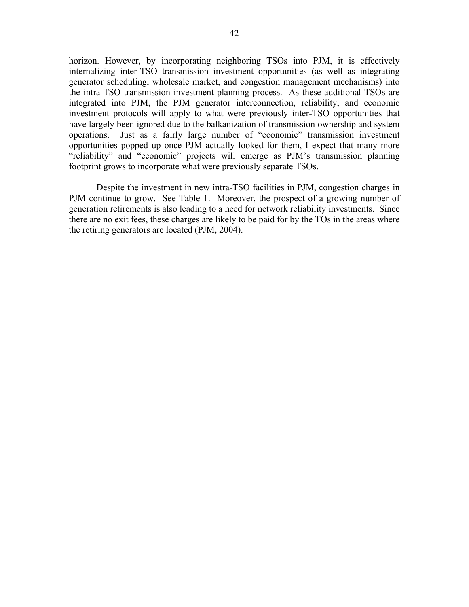horizon. However, by incorporating neighboring TSOs into PJM, it is effectively internalizing inter-TSO transmission investment opportunities (as well as integrating generator scheduling, wholesale market, and congestion management mechanisms) into the intra-TSO transmission investment planning process. As these additional TSOs are integrated into PJM, the PJM generator interconnection, reliability, and economic investment protocols will apply to what were previously inter-TSO opportunities that have largely been ignored due to the balkanization of transmission ownership and system operations. Just as a fairly large number of "economic" transmission investment opportunities popped up once PJM actually looked for them, I expect that many more "reliability" and "economic" projects will emerge as PJM's transmission planning footprint grows to incorporate what were previously separate TSOs.

Despite the investment in new intra-TSO facilities in PJM, congestion charges in PJM continue to grow. See Table 1. Moreover, the prospect of a growing number of generation retirements is also leading to a need for network reliability investments. Since there are no exit fees, these charges are likely to be paid for by the TOs in the areas where the retiring generators are located (PJM, 2004).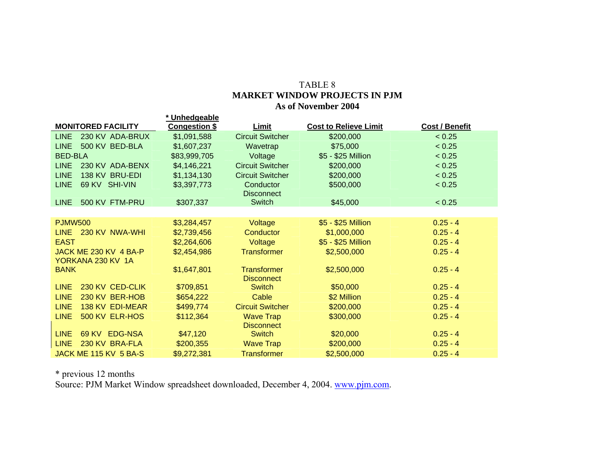#### TABLE 8 **MARKET WINDOW PROJECTS IN PJM As of November 2004**

|                                | * Unhedgeable        |                         |                              |                       |
|--------------------------------|----------------------|-------------------------|------------------------------|-----------------------|
| <b>MONITORED FACILITY</b>      | <b>Congestion \$</b> | <b>Limit</b>            | <b>Cost to Relieve Limit</b> | <b>Cost / Benefit</b> |
| 230 KV ADA-BRUX<br><b>LINE</b> | \$1,091,588          | <b>Circuit Switcher</b> | \$200,000                    | < 0.25                |
| 500 KV BED-BLA<br><b>LINE</b>  | \$1,607,237          | Wavetrap                | \$75,000                     | < 0.25                |
| <b>BED-BLA</b>                 | \$83,999,705         | Voltage                 | \$5 - \$25 Million           | < 0.25                |
| <b>LINE</b><br>230 KV ADA-BENX | \$4,146,221          | <b>Circuit Switcher</b> | \$200,000                    | < 0.25                |
| 138 KV BRU-EDI<br><b>LINE</b>  | \$1,134,130          | <b>Circuit Switcher</b> | \$200,000                    | < 0.25                |
| <b>LINE</b><br>69 KV SHI-VIN   | \$3,397,773          | Conductor               | \$500,000                    | < 0.25                |
|                                |                      | <b>Disconnect</b>       |                              |                       |
| <b>LINE</b><br>500 KV FTM-PRU  | \$307,337            | Switch                  | \$45,000                     | < 0.25                |
|                                |                      |                         |                              |                       |
| <b>PJMW500</b>                 | \$3,284,457          | Voltage                 | \$5 - \$25 Million           | $0.25 - 4$            |
| <b>LINE</b><br>230 KV NWA-WHI  | \$2,739,456          | Conductor               | \$1,000,000                  | $0.25 - 4$            |
| <b>EAST</b>                    | \$2,264,606          | Voltage                 | \$5 - \$25 Million           | $0.25 - 4$            |
| JACK ME 230 KV 4 BA-P          | \$2,454,986          | <b>Transformer</b>      | \$2,500,000                  | $0.25 - 4$            |
| YORKANA 230 KV 1A              |                      |                         |                              |                       |
| <b>BANK</b>                    | \$1,647,801          | <b>Transformer</b>      | \$2,500,000                  | $0.25 - 4$            |
|                                |                      | <b>Disconnect</b>       |                              |                       |
| 230 KV CED-CLIK<br><b>LINE</b> | \$709,851            | <b>Switch</b>           | \$50,000                     | $0.25 - 4$            |
| <b>LINE</b><br>230 KV BER-HOB  | \$654,222            | Cable                   | \$2 Million                  | $0.25 - 4$            |
| <b>LINE</b><br>138 KV EDI-MEAR | \$499,774            | <b>Circuit Switcher</b> | \$200,000                    | $0.25 - 4$            |
| <b>LINE</b><br>500 KV ELR-HOS  | \$112,364            | <b>Wave Trap</b>        | \$300,000                    | $0.25 - 4$            |
|                                |                      | <b>Disconnect</b>       |                              |                       |
| 69 KV EDG-NSA<br><b>LINE</b>   | \$47,120             | <b>Switch</b>           | \$20,000                     | $0.25 - 4$            |
| <b>LINE</b><br>230 KV BRA-FLA  | \$200,355            | <b>Wave Trap</b>        | \$200,000                    | $0.25 - 4$            |
| JACK ME 115 KV 5 BA-S          | \$9,272,381          | <b>Transformer</b>      | \$2,500,000                  | $0.25 - 4$            |

\* previous 12 months

Source: PJM Market Window spreadsheet downloaded, December 4, 2004. www.pjm.com.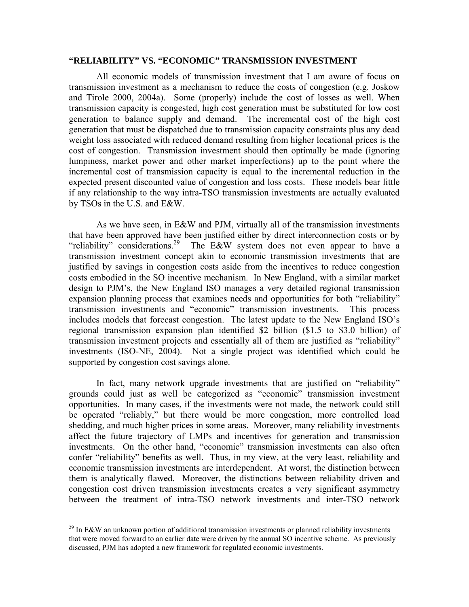#### **"RELIABILITY" VS. "ECONOMIC" TRANSMISSION INVESTMENT**

All economic models of transmission investment that I am aware of focus on transmission investment as a mechanism to reduce the costs of congestion (e.g. Joskow and Tirole 2000, 2004a). Some (properly) include the cost of losses as well. When transmission capacity is congested, high cost generation must be substituted for low cost generation to balance supply and demand. The incremental cost of the high cost generation that must be dispatched due to transmission capacity constraints plus any dead weight loss associated with reduced demand resulting from higher locational prices is the cost of congestion. Transmission investment should then optimally be made (ignoring lumpiness, market power and other market imperfections) up to the point where the incremental cost of transmission capacity is equal to the incremental reduction in the expected present discounted value of congestion and loss costs. These models bear little if any relationship to the way intra-TSO transmission investments are actually evaluated by TSOs in the U.S. and E&W.

As we have seen, in E&W and PJM, virtually all of the transmission investments that have been approved have been justified either by direct interconnection costs or by "reliability" considerations.<sup>29</sup> The E&W system does not even appear to have a transmission investment concept akin to economic transmission investments that are justified by savings in congestion costs aside from the incentives to reduce congestion costs embodied in the SO incentive mechanism. In New England, with a similar market design to PJM's, the New England ISO manages a very detailed regional transmission expansion planning process that examines needs and opportunities for both "reliability" transmission investments and "economic" transmission investments. This process includes models that forecast congestion. The latest update to the New England ISO's regional transmission expansion plan identified \$2 billion (\$1.5 to \$3.0 billion) of transmission investment projects and essentially all of them are justified as "reliability" investments (ISO-NE, 2004). Not a single project was identified which could be supported by congestion cost savings alone.

In fact, many network upgrade investments that are justified on "reliability" grounds could just as well be categorized as "economic" transmission investment opportunities. In many cases, if the investments were not made, the network could still be operated "reliably," but there would be more congestion, more controlled load shedding, and much higher prices in some areas. Moreover, many reliability investments affect the future trajectory of LMPs and incentives for generation and transmission investments. On the other hand, "economic" transmission investments can also often confer "reliability" benefits as well. Thus, in my view, at the very least, reliability and economic transmission investments are interdependent. At worst, the distinction between them is analytically flawed. Moreover, the distinctions between reliability driven and congestion cost driven transmission investments creates a very significant asymmetry between the treatment of intra-TSO network investments and inter-TSO network

 $29$  In E&W an unknown portion of additional transmission investments or planned reliability investments that were moved forward to an earlier date were driven by the annual SO incentive scheme. As previously discussed, PJM has adopted a new framework for regulated economic investments.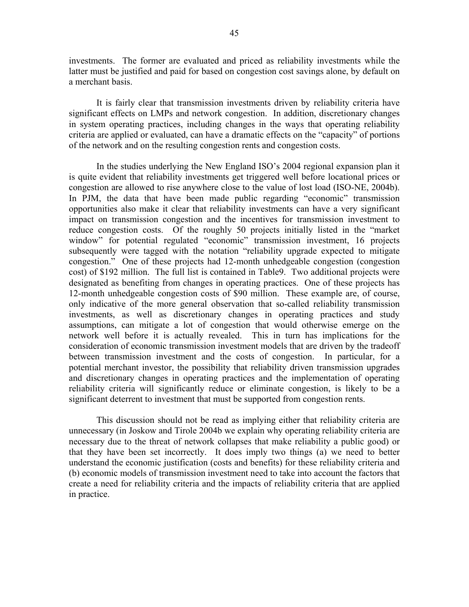investments. The former are evaluated and priced as reliability investments while the latter must be justified and paid for based on congestion cost savings alone, by default on a merchant basis.

It is fairly clear that transmission investments driven by reliability criteria have significant effects on LMPs and network congestion. In addition, discretionary changes in system operating practices, including changes in the ways that operating reliability criteria are applied or evaluated, can have a dramatic effects on the "capacity" of portions of the network and on the resulting congestion rents and congestion costs.

In the studies underlying the New England ISO's 2004 regional expansion plan it is quite evident that reliability investments get triggered well before locational prices or congestion are allowed to rise anywhere close to the value of lost load (ISO-NE, 2004b). In PJM, the data that have been made public regarding "economic" transmission opportunities also make it clear that reliability investments can have a very significant impact on transmission congestion and the incentives for transmission investment to reduce congestion costs. Of the roughly 50 projects initially listed in the "market window" for potential regulated "economic" transmission investment, 16 projects subsequently were tagged with the notation "reliability upgrade expected to mitigate congestion." One of these projects had 12-month unhedgeable congestion (congestion cost) of \$192 million. The full list is contained in Table9. Two additional projects were designated as benefiting from changes in operating practices. One of these projects has 12-month unhedgeable congestion costs of \$90 million. These example are, of course, only indicative of the more general observation that so-called reliability transmission investments, as well as discretionary changes in operating practices and study assumptions, can mitigate a lot of congestion that would otherwise emerge on the network well before it is actually revealed. This in turn has implications for the consideration of economic transmission investment models that are driven by the tradeoff between transmission investment and the costs of congestion. In particular, for a potential merchant investor, the possibility that reliability driven transmission upgrades and discretionary changes in operating practices and the implementation of operating reliability criteria will significantly reduce or eliminate congestion, is likely to be a significant deterrent to investment that must be supported from congestion rents.

 This discussion should not be read as implying either that reliability criteria are unnecessary (in Joskow and Tirole 2004b we explain why operating reliability criteria are necessary due to the threat of network collapses that make reliability a public good) or that they have been set incorrectly. It does imply two things (a) we need to better understand the economic justification (costs and benefits) for these reliability criteria and (b) economic models of transmission investment need to take into account the factors that create a need for reliability criteria and the impacts of reliability criteria that are applied in practice.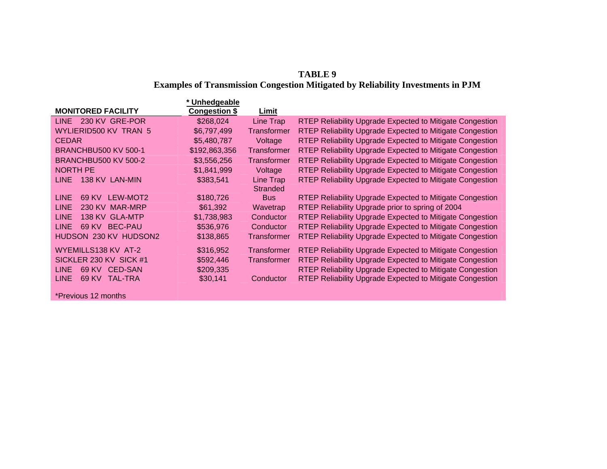### **TABLE 9 Examples of Transmission Congestion Mitigated by Reliability Investments in PJM**

|                               | Unhedgeable          |                    |                                                          |
|-------------------------------|----------------------|--------------------|----------------------------------------------------------|
| <b>MONITORED FACILITY</b>     | <b>Congestion \$</b> | Limit              |                                                          |
| LINE 230 KV GRE-POR           | \$268,024            | Line Trap          | RTEP Reliability Upgrade Expected to Mitigate Congestion |
| WYLIERID500 KV TRAN 5         | \$6,797,499          | <b>Transformer</b> | RTEP Reliability Upgrade Expected to Mitigate Congestion |
| <b>CEDAR</b>                  | \$5,480,787          | Voltage            | RTEP Reliability Upgrade Expected to Mitigate Congestion |
| <b>BRANCHBU500 KV 500-1</b>   | \$192,863,356        | <b>Transformer</b> | RTEP Reliability Upgrade Expected to Mitigate Congestion |
| <b>BRANCHBU500 KV 500-2</b>   | \$3,556,256          | <b>Transformer</b> | RTEP Reliability Upgrade Expected to Mitigate Congestion |
| <b>NORTH PE</b>               | \$1,841,999          | Voltage            | RTEP Reliability Upgrade Expected to Mitigate Congestion |
| 138 KV LAN-MIN<br><b>LINE</b> | \$383,541            | Line Trap          | RTEP Reliability Upgrade Expected to Mitigate Congestion |
|                               |                      | <b>Stranded</b>    |                                                          |
| 69 KV LEW-MOT2<br><b>LINE</b> | \$180,726            | <b>Bus</b>         | RTEP Reliability Upgrade Expected to Mitigate Congestion |
| <b>LINE</b><br>230 KV MAR-MRP | \$61,392             | Wavetrap           | RTEP Reliability Upgrade prior to spring of 2004         |
| 138 KV GLA-MTP<br><b>LINE</b> | \$1,738,983          | Conductor          | RTEP Reliability Upgrade Expected to Mitigate Congestion |
| 69 KV BEC-PAU<br><b>LINE</b>  | \$536,976            | Conductor          | RTEP Reliability Upgrade Expected to Mitigate Congestion |
| HUDSON 230 KV HUDSON2         | \$138,865            | <b>Transformer</b> | RTEP Reliability Upgrade Expected to Mitigate Congestion |
| WYEMILLS138 KV AT-2           | \$316,952            | <b>Transformer</b> | RTEP Reliability Upgrade Expected to Mitigate Congestion |
| SICKLER 230 KV SICK #1        | \$592,446            | Transformer        | RTEP Reliability Upgrade Expected to Mitigate Congestion |
| 69 KV CED-SAN<br><b>LINE</b>  | \$209,335            |                    | RTEP Reliability Upgrade Expected to Mitigate Congestion |
| 69 KV TAL-TRA<br><b>LINE</b>  | \$30,141             | Conductor          | RTEP Reliability Upgrade Expected to Mitigate Congestion |
| *Previous 12 months           |                      |                    |                                                          |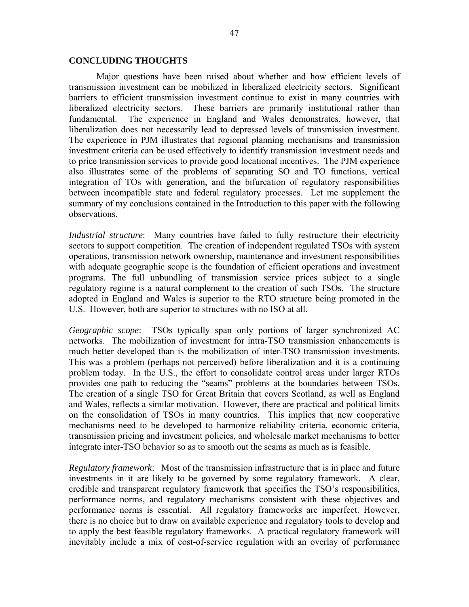#### **CONCLUDING THOUGHTS**

 Major questions have been raised about whether and how efficient levels of transmission investment can be mobilized in liberalized electricity sectors. Significant barriers to efficient transmission investment continue to exist in many countries with liberalized electricity sectors. These barriers are primarily institutional rather than fundamental. The experience in England and Wales demonstrates, however, that liberalization does not necessarily lead to depressed levels of transmission investment. The experience in PJM illustrates that regional planning mechanisms and transmission investment criteria can be used effectively to identify transmission investment needs and to price transmission services to provide good locational incentives. The PJM experience also illustrates some of the problems of separating SO and TO functions, vertical integration of TOs with generation, and the bifurcation of regulatory responsibilities between incompatible state and federal regulatory processes. Let me supplement the summary of my conclusions contained in the Introduction to this paper with the following observations.

*Industrial structure*: Many countries have failed to fully restructure their electricity sectors to support competition. The creation of independent regulated TSOs with system operations, transmission network ownership, maintenance and investment responsibilities with adequate geographic scope is the foundation of efficient operations and investment programs. The full unbundling of transmission service prices subject to a single regulatory regime is a natural complement to the creation of such TSOs. The structure adopted in England and Wales is superior to the RTO structure being promoted in the U.S. However, both are superior to structures with no ISO at all.

*Geographic scope*: TSOs typically span only portions of larger synchronized AC networks. The mobilization of investment for intra-TSO transmission enhancements is much better developed than is the mobilization of inter-TSO transmission investments. This was a problem (perhaps not perceived) before liberalization and it is a continuing problem today. In the U.S., the effort to consolidate control areas under larger RTOs provides one path to reducing the "seams" problems at the boundaries between TSOs. The creation of a single TSO for Great Britain that covers Scotland, as well as England and Wales, reflects a similar motivation. However, there are practical and political limits on the consolidation of TSOs in many countries. This implies that new cooperative mechanisms need to be developed to harmonize reliability criteria, economic criteria, transmission pricing and investment policies, and wholesale market mechanisms to better integrate inter-TSO behavior so as to smooth out the seams as much as is feasible.

*Regulatory framework*: Most of the transmission infrastructure that is in place and future investments in it are likely to be governed by some regulatory framework. A clear, credible and transparent regulatory framework that specifies the TSO's responsibilities, performance norms, and regulatory mechanisms consistent with these objectives and performance norms is essential. All regulatory frameworks are imperfect. However, there is no choice but to draw on available experience and regulatory tools to develop and to apply the best feasible regulatory frameworks. A practical regulatory framework will inevitably include a mix of cost-of-service regulation with an overlay of performance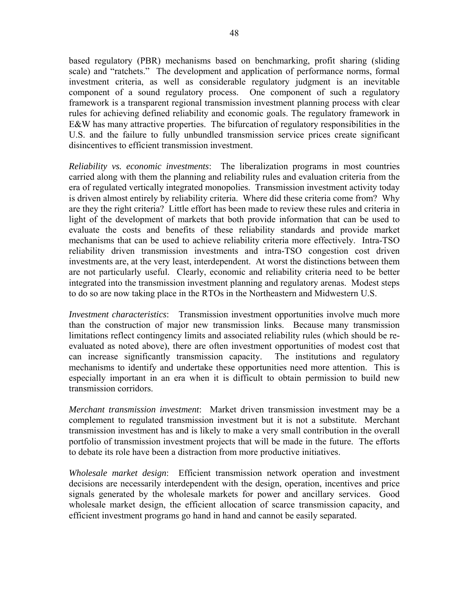based regulatory (PBR) mechanisms based on benchmarking, profit sharing (sliding scale) and "ratchets." The development and application of performance norms, formal investment criteria, as well as considerable regulatory judgment is an inevitable component of a sound regulatory process. One component of such a regulatory framework is a transparent regional transmission investment planning process with clear rules for achieving defined reliability and economic goals. The regulatory framework in E&W has many attractive properties. The bifurcation of regulatory responsibilities in the U.S. and the failure to fully unbundled transmission service prices create significant disincentives to efficient transmission investment.

*Reliability vs. economic investments*: The liberalization programs in most countries carried along with them the planning and reliability rules and evaluation criteria from the era of regulated vertically integrated monopolies. Transmission investment activity today is driven almost entirely by reliability criteria. Where did these criteria come from? Why are they the right criteria? Little effort has been made to review these rules and criteria in light of the development of markets that both provide information that can be used to evaluate the costs and benefits of these reliability standards and provide market mechanisms that can be used to achieve reliability criteria more effectively. Intra-TSO reliability driven transmission investments and intra-TSO congestion cost driven investments are, at the very least, interdependent. At worst the distinctions between them are not particularly useful. Clearly, economic and reliability criteria need to be better integrated into the transmission investment planning and regulatory arenas. Modest steps to do so are now taking place in the RTOs in the Northeastern and Midwestern U.S.

*Investment characteristics*: Transmission investment opportunities involve much more than the construction of major new transmission links. Because many transmission limitations reflect contingency limits and associated reliability rules (which should be reevaluated as noted above), there are often investment opportunities of modest cost that can increase significantly transmission capacity. The institutions and regulatory mechanisms to identify and undertake these opportunities need more attention. This is especially important in an era when it is difficult to obtain permission to build new transmission corridors.

*Merchant transmission investment*: Market driven transmission investment may be a complement to regulated transmission investment but it is not a substitute. Merchant transmission investment has and is likely to make a very small contribution in the overall portfolio of transmission investment projects that will be made in the future. The efforts to debate its role have been a distraction from more productive initiatives.

*Wholesale market design*: Efficient transmission network operation and investment decisions are necessarily interdependent with the design, operation, incentives and price signals generated by the wholesale markets for power and ancillary services. Good wholesale market design, the efficient allocation of scarce transmission capacity, and efficient investment programs go hand in hand and cannot be easily separated.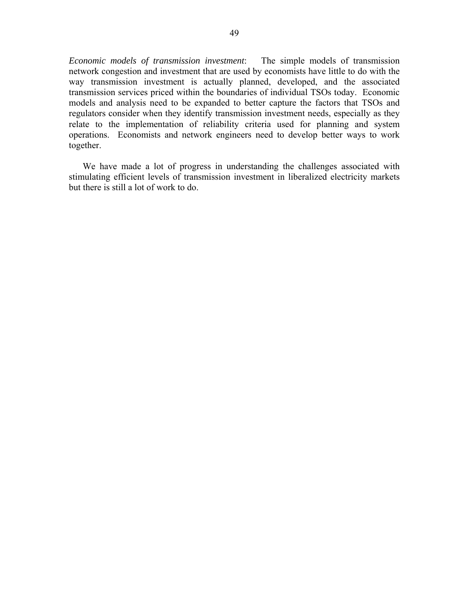*Economic models of transmission investment*: The simple models of transmission network congestion and investment that are used by economists have little to do with the way transmission investment is actually planned, developed, and the associated transmission services priced within the boundaries of individual TSOs today. Economic models and analysis need to be expanded to better capture the factors that TSOs and regulators consider when they identify transmission investment needs, especially as they relate to the implementation of reliability criteria used for planning and system operations. Economists and network engineers need to develop better ways to work together.

 We have made a lot of progress in understanding the challenges associated with stimulating efficient levels of transmission investment in liberalized electricity markets but there is still a lot of work to do.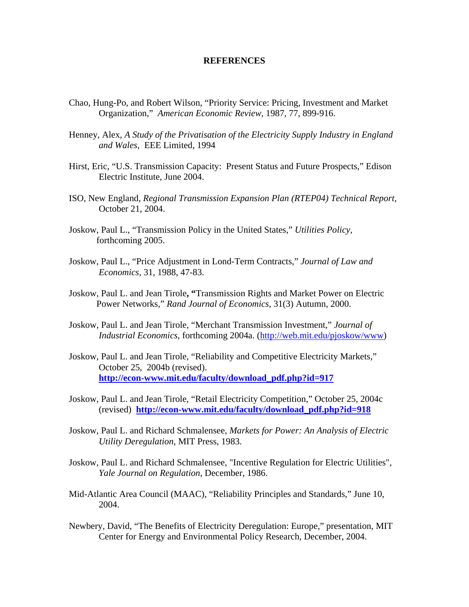#### **REFERENCES**

- Chao, Hung-Po, and Robert Wilson, "Priority Service: Pricing, Investment and Market Organization," *American Economic Review,* 1987, 77, 899-916.
- Henney, Alex, *A Study of the Privatisation of the Electricity Supply Industry in England and Wales*, EEE Limited, 1994
- Hirst, Eric, "U.S. Transmission Capacity: Present Status and Future Prospects," Edison Electric Institute, June 2004.
- ISO, New England, *Regional Transmission Expansion Plan (RTEP04) Technical Report,*  October 21, 2004.
- Joskow, Paul L., "Transmission Policy in the United States," *Utilities Policy,* forthcoming 2005.
- Joskow, Paul L., "Price Adjustment in Lond-Term Contracts," *Journal of Law and Economics*, 31, 1988, 47-83.
- Joskow, Paul L. and Jean Tirole**, "**Transmission Rights and Market Power on Electric Power Networks," *Rand Journal of Economics*, 31(3) Autumn, 2000.
- Joskow, Paul L. and Jean Tirole, "Merchant Transmission Investment," *Journal of Industrial Economics*, forthcoming 2004a. (http://web.mit.edu/pjoskow/www)
- Joskow, Paul L. and Jean Tirole, "Reliability and Competitive Electricity Markets," October 25, 2004b (revised). **http://econ-www.mit.edu/faculty/download\_pdf.php?id=917**
- Joskow, Paul L. and Jean Tirole, "Retail Electricity Competition," October 25, 2004c (revised) **http://econ-www.mit.edu/faculty/download\_pdf.php?id=918**
- Joskow, Paul L. and Richard Schmalensee, *Markets for Power: An Analysis of Electric Utility Deregulation*, MIT Press, 1983.
- Joskow, Paul L. and Richard Schmalensee, "Incentive Regulation for Electric Utilities", *Yale Journal on Regulation*, December, 1986.
- Mid-Atlantic Area Council (MAAC), "Reliability Principles and Standards," June 10, 2004.
- Newbery, David, "The Benefits of Electricity Deregulation: Europe," presentation, MIT Center for Energy and Environmental Policy Research, December, 2004.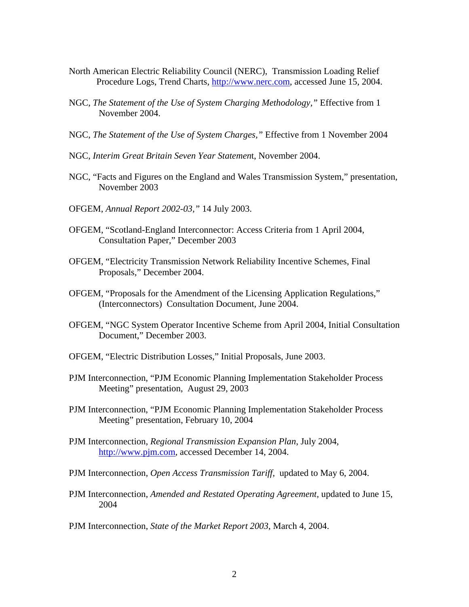- North American Electric Reliability Council (NERC), Transmission Loading Relief Procedure Logs, Trend Charts, http://www.nerc.com, accessed June 15, 2004.
- NGC, *The Statement of the Use of System Charging Methodology,"* Effective from 1 November 2004.
- NGC, *The Statement of the Use of System Charges,"* Effective from 1 November 2004
- NGC, *Interim Great Britain Seven Year Statemen*t, November 2004.
- NGC, "Facts and Figures on the England and Wales Transmission System," presentation, November 2003
- OFGEM, *Annual Report 2002-03,"* 14 July 2003.
- OFGEM, "Scotland-England Interconnector: Access Criteria from 1 April 2004, Consultation Paper," December 2003
- OFGEM, "Electricity Transmission Network Reliability Incentive Schemes, Final Proposals," December 2004.
- OFGEM, "Proposals for the Amendment of the Licensing Application Regulations," (Interconnectors) Consultation Document, June 2004.
- OFGEM, "NGC System Operator Incentive Scheme from April 2004, Initial Consultation Document," December 2003.
- OFGEM, "Electric Distribution Losses," Initial Proposals, June 2003.
- PJM Interconnection, "PJM Economic Planning Implementation Stakeholder Process Meeting" presentation, August 29, 2003
- PJM Interconnection, "PJM Economic Planning Implementation Stakeholder Process Meeting" presentation, February 10, 2004
- PJM Interconnection, *Regional Transmission Expansion Plan*, July 2004, http://www.pjm.com, accessed December 14, 2004.
- PJM Interconnection, *Open Access Transmission Tariff*, updated to May 6, 2004.
- PJM Interconnection, *Amended and Restated Operating Agreement*, updated to June 15, 2004
- PJM Interconnection, *State of the Market Report 2003*, March 4, 2004.